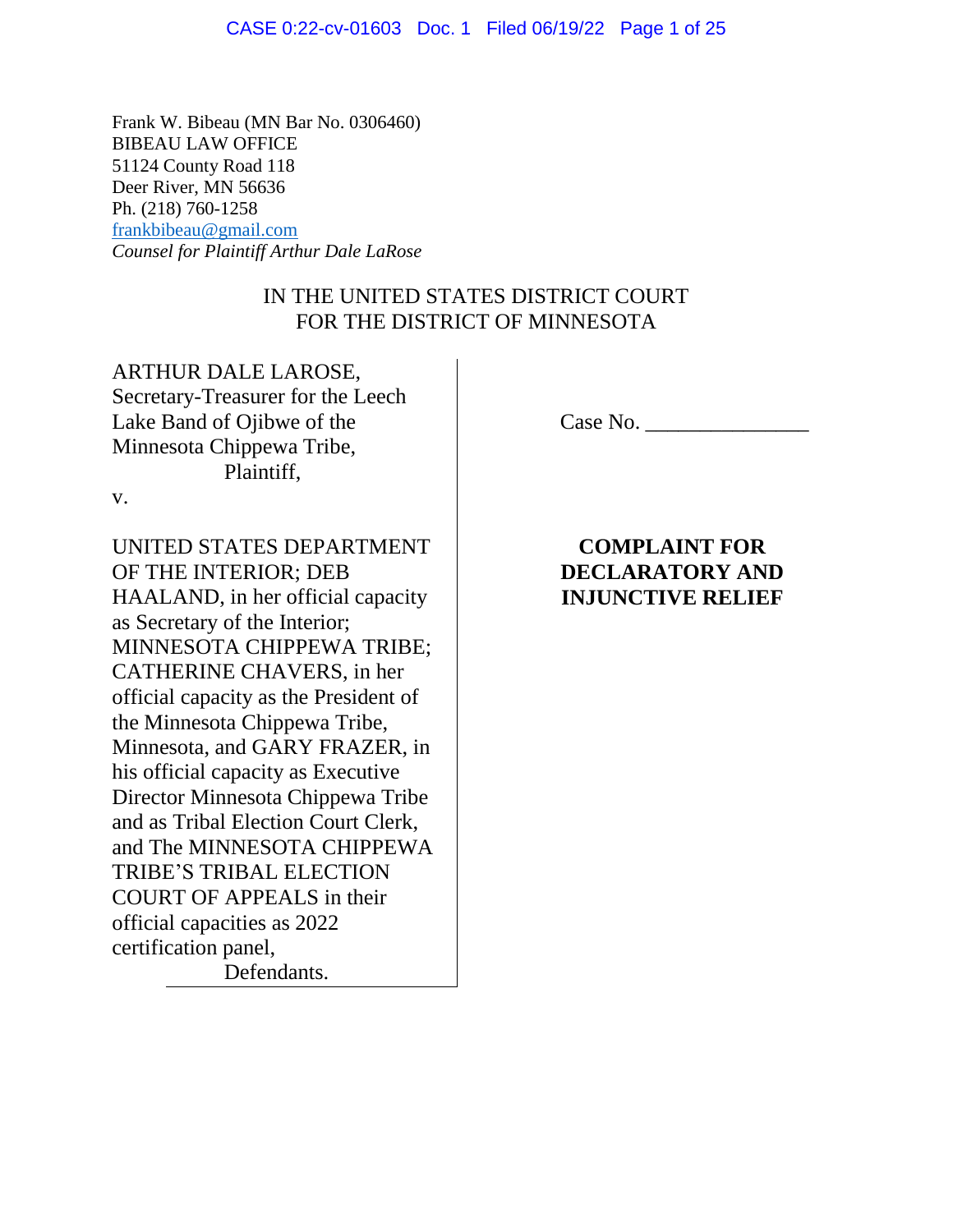#### CASE 0:22-cv-01603 Doc. 1 Filed 06/19/22 Page 1 of 25

Frank W. Bibeau (MN Bar No. 0306460) BIBEAU LAW OFFICE 51124 County Road 118 Deer River, MN 56636 Ph. (218) 760-1258 [frankbibeau@gmail.com](mailto:frankbibeau@gmail.com) *Counsel for Plaintiff Arthur Dale LaRose*

# IN THE UNITED STATES DISTRICT COURT FOR THE DISTRICT OF MINNESOTA

ARTHUR DALE LAROSE, Secretary-Treasurer for the Leech Lake Band of Ojibwe of the Minnesota Chippewa Tribe, Plaintiff,

v.

UNITED STATES DEPARTMENT OF THE INTERIOR; DEB HAALAND, in her official capacity as Secretary of the Interior; MINNESOTA CHIPPEWA TRIBE; CATHERINE CHAVERS, in her official capacity as the President of the Minnesota Chippewa Tribe, Minnesota, and GARY FRAZER, in his official capacity as Executive Director Minnesota Chippewa Tribe and as Tribal Election Court Clerk, and The MINNESOTA CHIPPEWA TRIBE'S TRIBAL ELECTION COURT OF APPEALS in their official capacities as 2022 certification panel, Defendants.

Case No. \_\_\_\_\_\_\_\_\_\_\_\_\_\_\_

**COMPLAINT FOR DECLARATORY AND INJUNCTIVE RELIEF**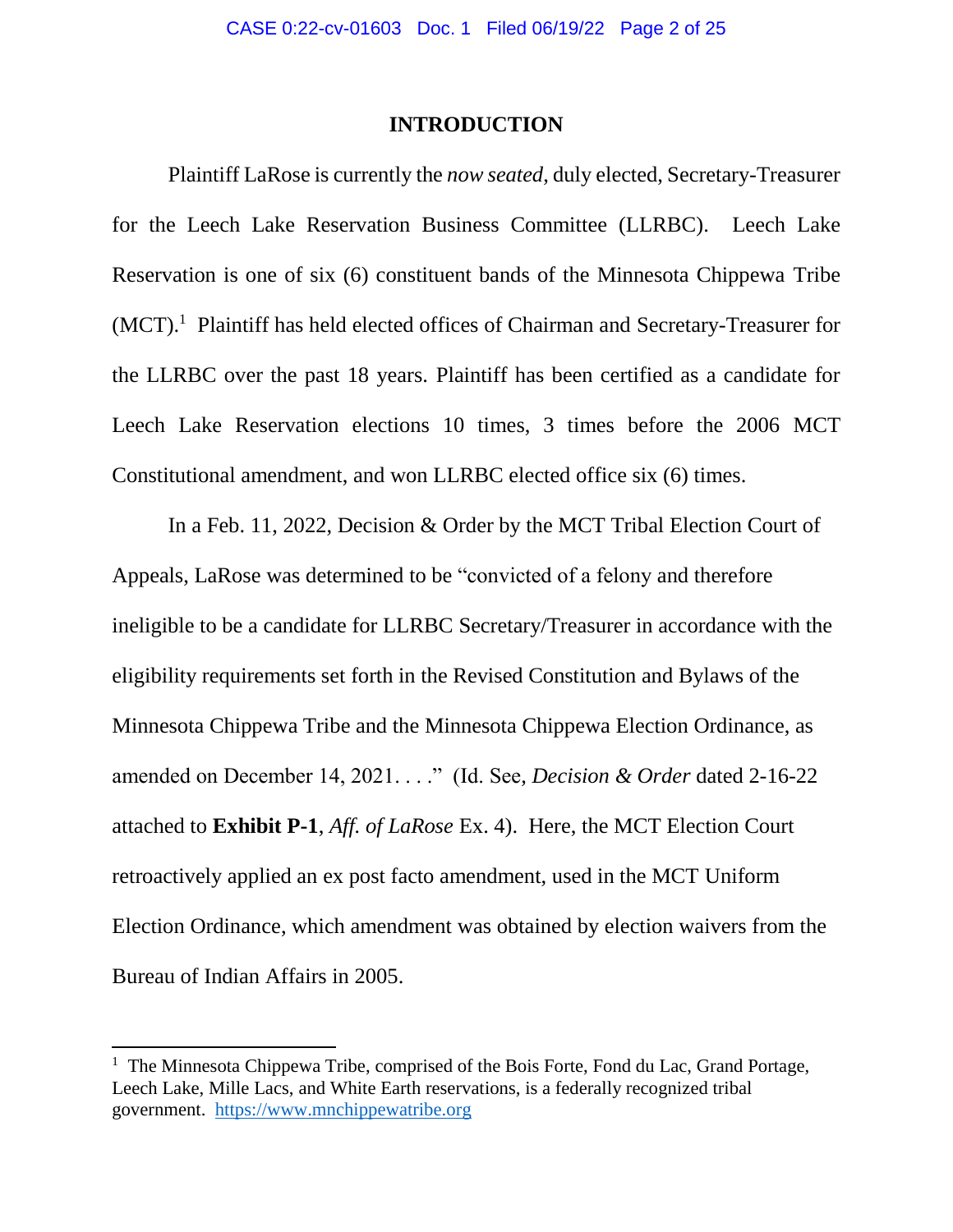### **INTRODUCTION**

Plaintiff LaRose is currently the *now seated*, duly elected, Secretary-Treasurer for the Leech Lake Reservation Business Committee (LLRBC). Leech Lake Reservation is one of six (6) constituent bands of the Minnesota Chippewa Tribe (MCT).<sup>1</sup> Plaintiff has held elected offices of Chairman and Secretary-Treasurer for the LLRBC over the past 18 years. Plaintiff has been certified as a candidate for Leech Lake Reservation elections 10 times, 3 times before the 2006 MCT Constitutional amendment, and won LLRBC elected office six (6) times.

In a Feb. 11, 2022, Decision & Order by the MCT Tribal Election Court of Appeals, LaRose was determined to be "convicted of a felony and therefore ineligible to be a candidate for LLRBC Secretary/Treasurer in accordance with the eligibility requirements set forth in the Revised Constitution and Bylaws of the Minnesota Chippewa Tribe and the Minnesota Chippewa Election Ordinance, as amended on December 14, 2021. . . ." (Id. See, *Decision & Order* dated 2-16-22 attached to **Exhibit P-1**, *Aff. of LaRose* Ex. 4). Here, the MCT Election Court retroactively applied an ex post facto amendment, used in the MCT Uniform Election Ordinance, which amendment was obtained by election waivers from the Bureau of Indian Affairs in 2005.

 $\overline{\phantom{a}}$ 

<sup>&</sup>lt;sup>1</sup> The Minnesota Chippewa Tribe, comprised of the Bois Forte, Fond du Lac, Grand Portage, Leech Lake, Mille Lacs, and White Earth reservations, is a federally recognized tribal government. [https://www.mnchippewatribe.org](https://www.mnchippewatribe.org/)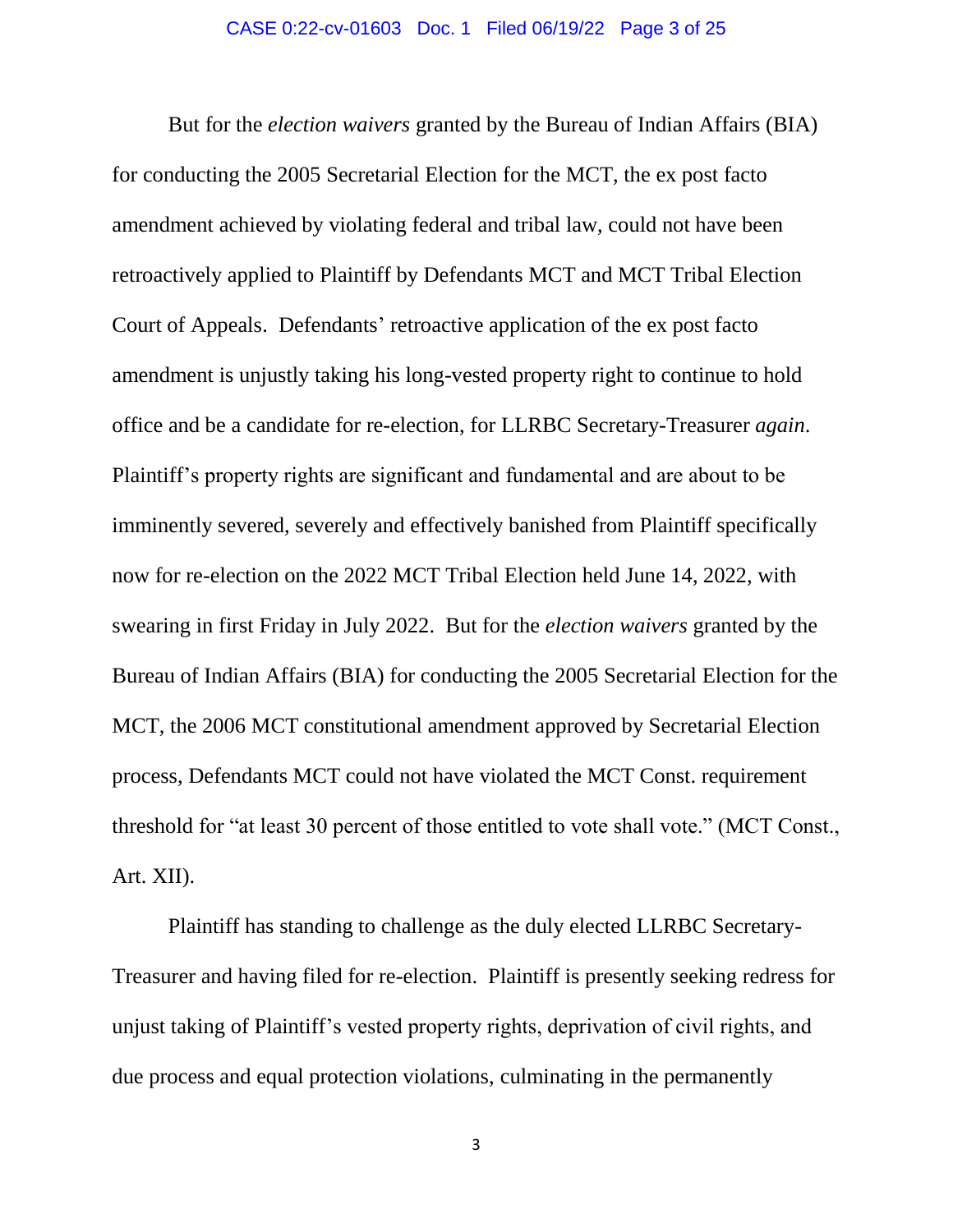But for the *election waivers* granted by the Bureau of Indian Affairs (BIA) for conducting the 2005 Secretarial Election for the MCT, the ex post facto amendment achieved by violating federal and tribal law, could not have been retroactively applied to Plaintiff by Defendants MCT and MCT Tribal Election Court of Appeals. Defendants' retroactive application of the ex post facto amendment is unjustly taking his long-vested property right to continue to hold office and be a candidate for re-election, for LLRBC Secretary-Treasurer *again*. Plaintiff's property rights are significant and fundamental and are about to be imminently severed, severely and effectively banished from Plaintiff specifically now for re-election on the 2022 MCT Tribal Election held June 14, 2022, with swearing in first Friday in July 2022. But for the *election waivers* granted by the Bureau of Indian Affairs (BIA) for conducting the 2005 Secretarial Election for the MCT, the 2006 MCT constitutional amendment approved by Secretarial Election process, Defendants MCT could not have violated the MCT Const. requirement threshold for "at least 30 percent of those entitled to vote shall vote." (MCT Const., Art. XII).

Plaintiff has standing to challenge as the duly elected LLRBC Secretary-Treasurer and having filed for re-election. Plaintiff is presently seeking redress for unjust taking of Plaintiff's vested property rights, deprivation of civil rights, and due process and equal protection violations, culminating in the permanently

3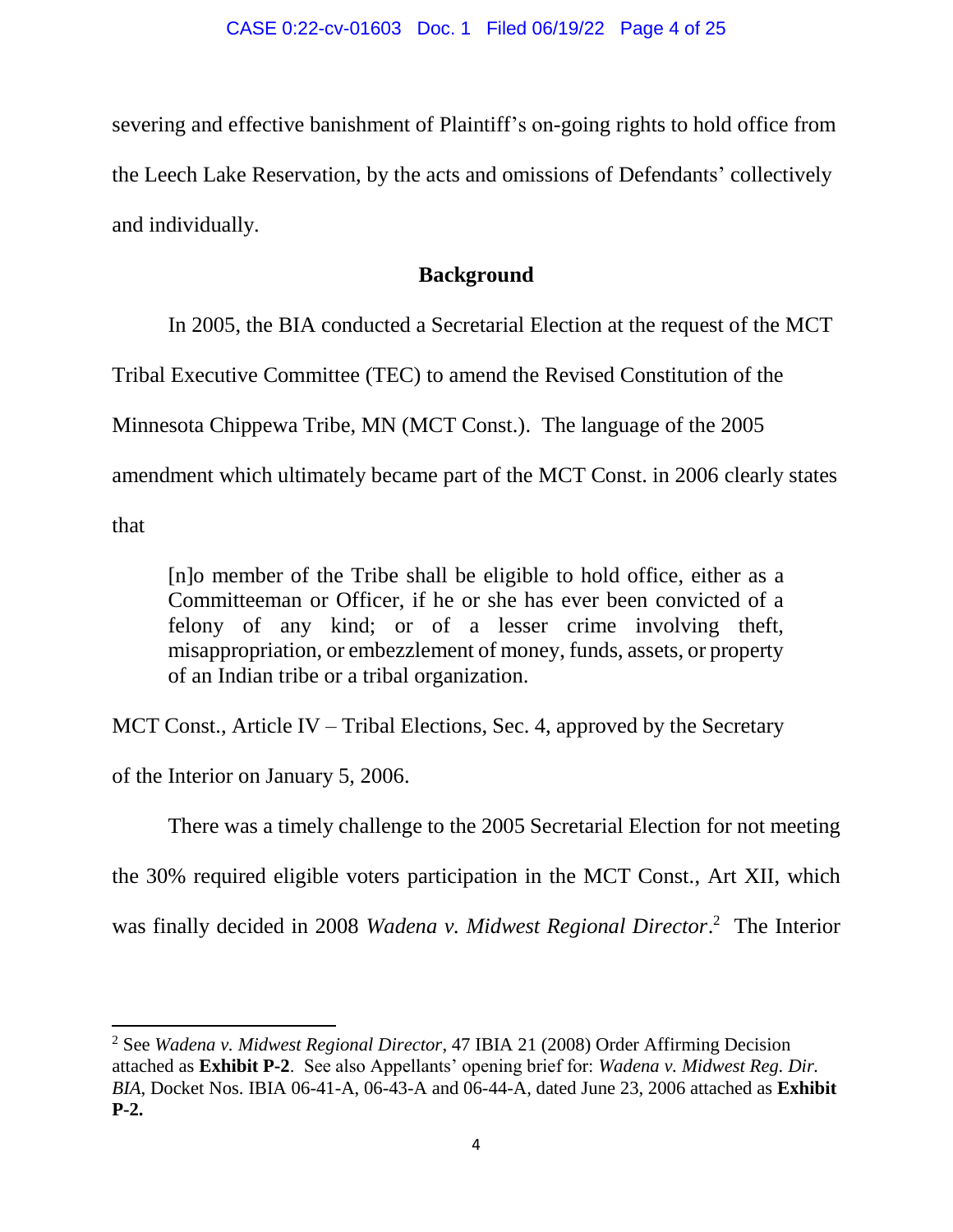severing and effective banishment of Plaintiff's on-going rights to hold office from the Leech Lake Reservation, by the acts and omissions of Defendants' collectively and individually.

# **Background**

In 2005, the BIA conducted a Secretarial Election at the request of the MCT Tribal Executive Committee (TEC) to amend the Revised Constitution of the Minnesota Chippewa Tribe, MN (MCT Const.). The language of the 2005 amendment which ultimately became part of the MCT Const. in 2006 clearly states that

[n]o member of the Tribe shall be eligible to hold office, either as a Committeeman or Officer, if he or she has ever been convicted of a felony of any kind; or of a lesser crime involving theft, misappropriation, or embezzlement of money, funds, assets, or property of an Indian tribe or a tribal organization.

MCT Const., Article IV – Tribal Elections, Sec. 4, approved by the Secretary

of the Interior on January 5, 2006.

There was a timely challenge to the 2005 Secretarial Election for not meeting

the 30% required eligible voters participation in the MCT Const., Art XII, which

was finally decided in 2008 *Wadena v. Midwest Regional Director*. 2 The Interior

 $\overline{a}$ <sup>2</sup> See *Wadena v. Midwest Regional Director*, 47 IBIA 21 (2008) Order Affirming Decision attached as **Exhibit P-2**. See also Appellants' opening brief for: *Wadena v. Midwest Reg. Dir. BIA*, Docket Nos. IBIA 06-41-A, 06-43-A and 06-44-A, dated June 23, 2006 attached as **Exhibit P-2.**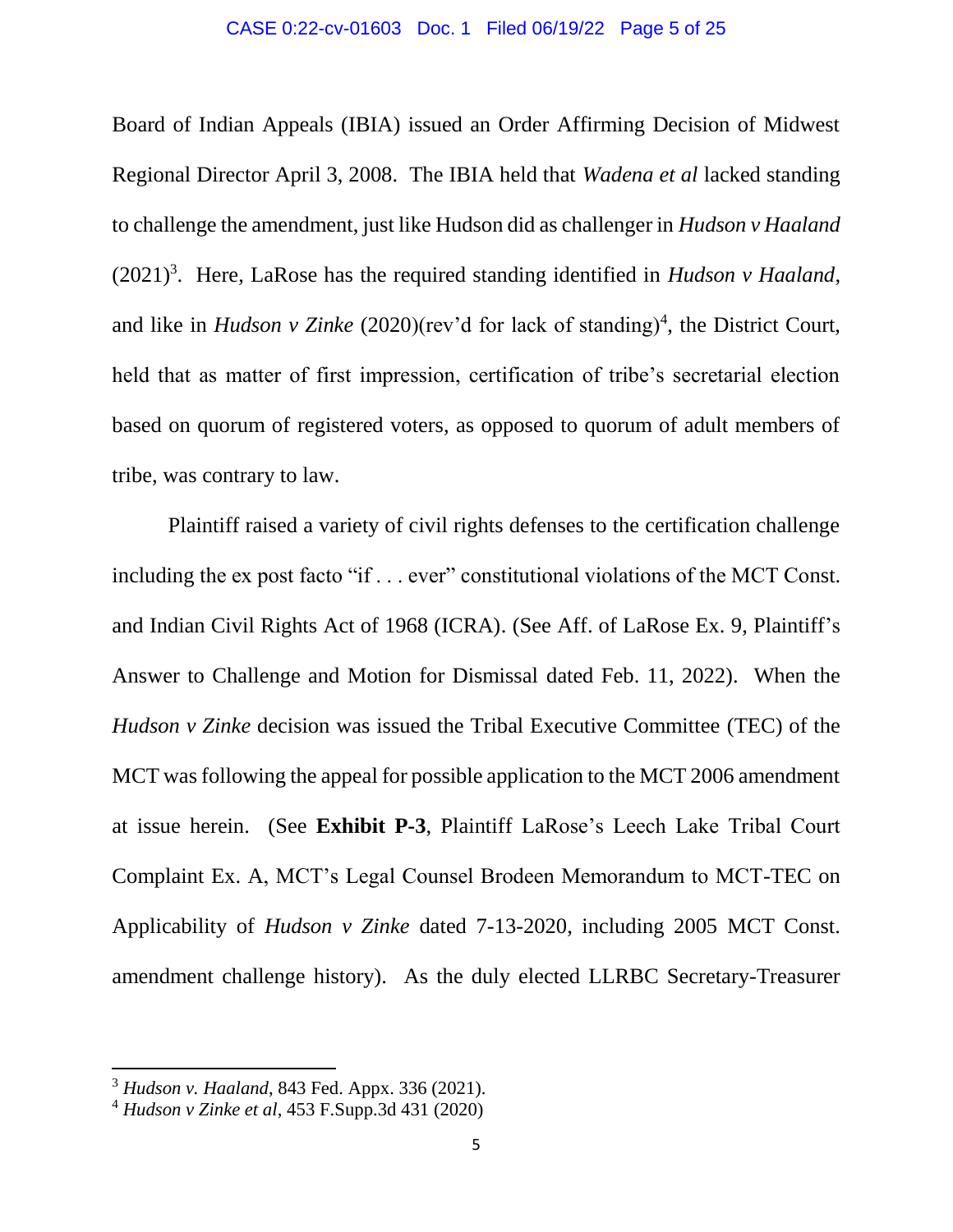### CASE 0:22-cv-01603 Doc. 1 Filed 06/19/22 Page 5 of 25

Board of Indian Appeals (IBIA) issued an Order Affirming Decision of Midwest Regional Director April 3, 2008. The IBIA held that *Wadena et al* lacked standing to challenge the amendment, just like Hudson did as challenger in *Hudson v Haaland*  $(2021)^3$ . Here, LaRose has the required standing identified in *Hudson v Haaland*, and like in *Hudson v Zinke* (2020)(rev'd for lack of standing)<sup>4</sup>, the District Court, held that as matter of first impression, certification of tribe's secretarial election based on quorum of registered voters, as opposed to quorum of adult members of tribe, was contrary to law.

Plaintiff raised a variety of civil rights defenses to the certification challenge including the ex post facto "if . . . ever" constitutional violations of the MCT Const. and Indian Civil Rights Act of 1968 (ICRA). (See Aff. of LaRose Ex. 9, Plaintiff's Answer to Challenge and Motion for Dismissal dated Feb. 11, 2022). When the *Hudson v Zinke* decision was issued the Tribal Executive Committee (TEC) of the MCT was following the appeal for possible application to the MCT 2006 amendment at issue herein. (See **Exhibit P-3**, Plaintiff LaRose's Leech Lake Tribal Court Complaint Ex. A, MCT's Legal Counsel Brodeen Memorandum to MCT-TEC on Applicability of *Hudson v Zinke* dated 7-13-2020, including 2005 MCT Const. amendment challenge history). As the duly elected LLRBC Secretary-Treasurer

 $\overline{\phantom{a}}$ 

<sup>3</sup> *Hudson v. Haaland*, 843 Fed. Appx. 336 (2021).

<sup>4</sup> *Hudson v Zinke et al*, 453 F.Supp.3d 431 (2020)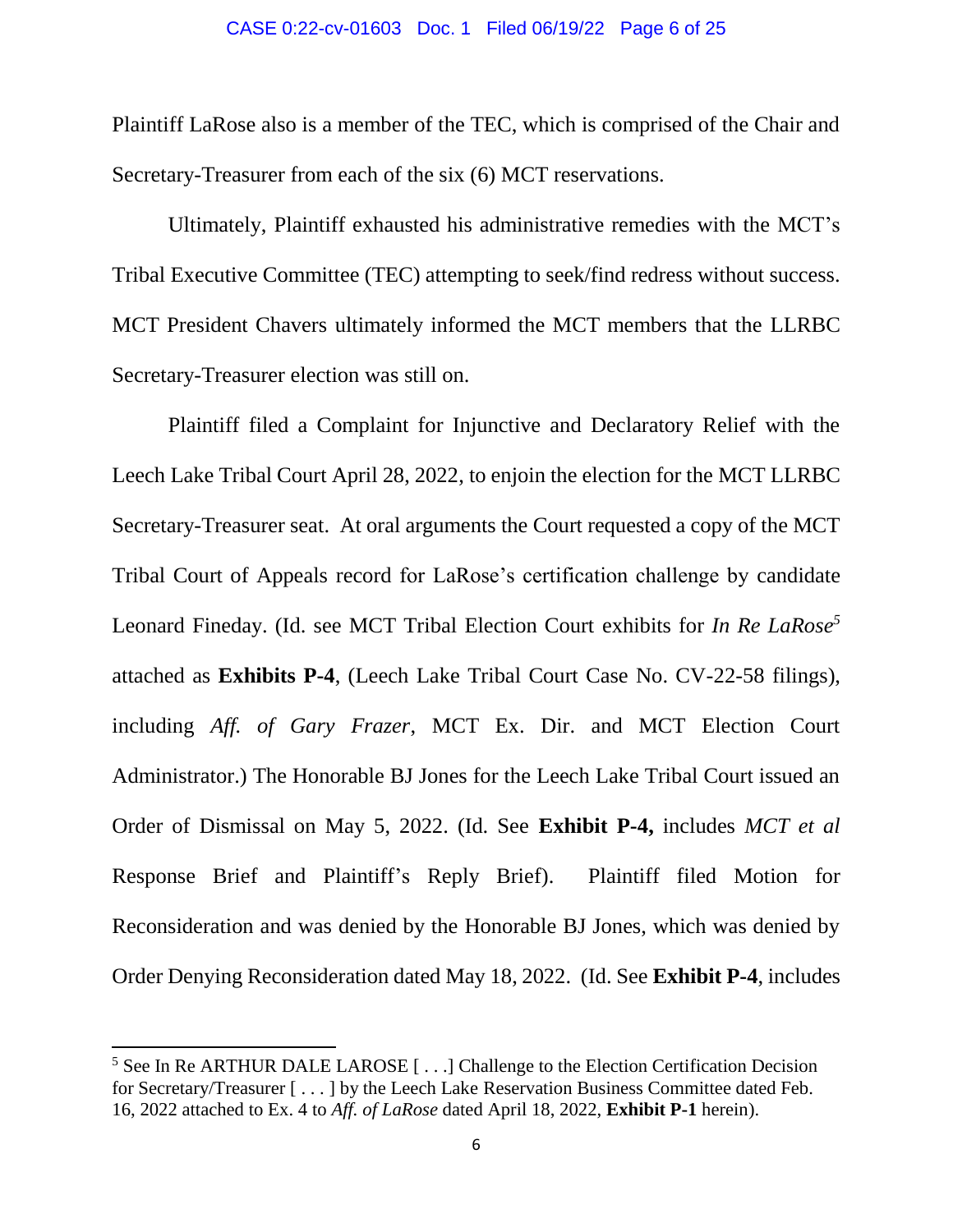#### CASE 0:22-cv-01603 Doc. 1 Filed 06/19/22 Page 6 of 25

Plaintiff LaRose also is a member of the TEC, which is comprised of the Chair and Secretary-Treasurer from each of the six (6) MCT reservations.

Ultimately, Plaintiff exhausted his administrative remedies with the MCT's Tribal Executive Committee (TEC) attempting to seek/find redress without success. MCT President Chavers ultimately informed the MCT members that the LLRBC Secretary-Treasurer election was still on.

Plaintiff filed a Complaint for Injunctive and Declaratory Relief with the Leech Lake Tribal Court April 28, 2022, to enjoin the election for the MCT LLRBC Secretary-Treasurer seat. At oral arguments the Court requested a copy of the MCT Tribal Court of Appeals record for LaRose's certification challenge by candidate Leonard Fineday. (Id. see MCT Tribal Election Court exhibits for *In Re LaRose<sup>5</sup>* attached as **Exhibits P-4**, (Leech Lake Tribal Court Case No. CV-22-58 filings), including *Aff. of Gary Frazer*, MCT Ex. Dir. and MCT Election Court Administrator.) The Honorable BJ Jones for the Leech Lake Tribal Court issued an Order of Dismissal on May 5, 2022. (Id. See **Exhibit P-4,** includes *MCT et al* Response Brief and Plaintiff's Reply Brief). Plaintiff filed Motion for Reconsideration and was denied by the Honorable BJ Jones, which was denied by Order Denying Reconsideration dated May 18, 2022. (Id. See **Exhibit P-4**, includes

 $\overline{\phantom{a}}$ 

<sup>&</sup>lt;sup>5</sup> See In Re ARTHUR DALE LAROSE [...] Challenge to the Election Certification Decision for Secretary/Treasurer [ . . . ] by the Leech Lake Reservation Business Committee dated Feb. 16, 2022 attached to Ex. 4 to *Aff. of LaRose* dated April 18, 2022, **Exhibit P-1** herein).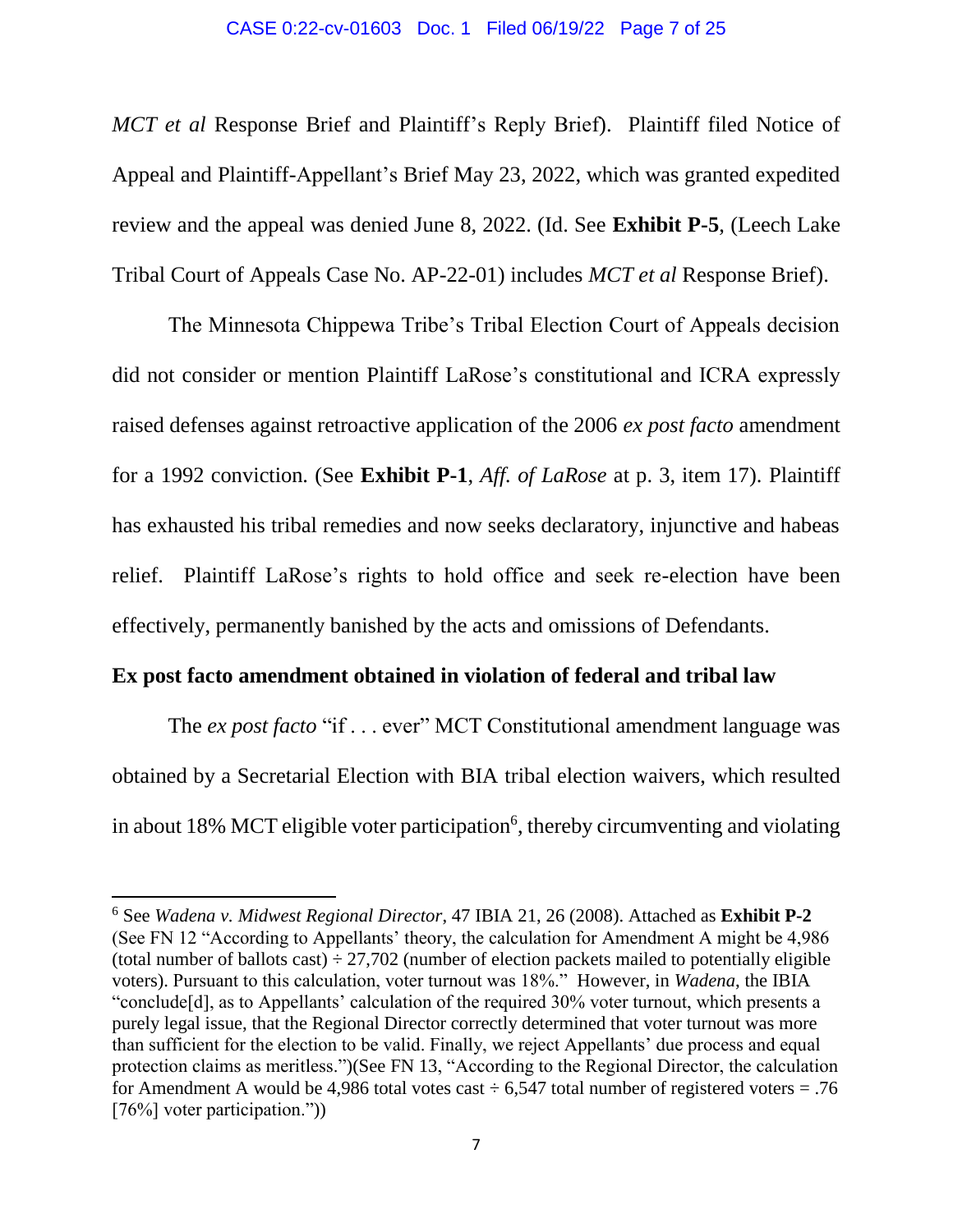#### CASE 0:22-cv-01603 Doc. 1 Filed 06/19/22 Page 7 of 25

*MCT et al* Response Brief and Plaintiff's Reply Brief). Plaintiff filed Notice of Appeal and Plaintiff-Appellant's Brief May 23, 2022, which was granted expedited review and the appeal was denied June 8, 2022. (Id. See **Exhibit P-5**, (Leech Lake Tribal Court of Appeals Case No. AP-22-01) includes *MCT et al* Response Brief).

The Minnesota Chippewa Tribe's Tribal Election Court of Appeals decision did not consider or mention Plaintiff LaRose's constitutional and ICRA expressly raised defenses against retroactive application of the 2006 *ex post facto* amendment for a 1992 conviction. (See **Exhibit P-1**, *Aff. of LaRose* at p. 3, item 17). Plaintiff has exhausted his tribal remedies and now seeks declaratory, injunctive and habeas relief. Plaintiff LaRose's rights to hold office and seek re-election have been effectively, permanently banished by the acts and omissions of Defendants.

## **Ex post facto amendment obtained in violation of federal and tribal law**

l

The *ex post facto* "if . . . ever" MCT Constitutional amendment language was obtained by a Secretarial Election with BIA tribal election waivers, which resulted in about 18% MCT eligible voter participation<sup>6</sup>, thereby circumventing and violating

<sup>6</sup> See *Wadena v. Midwest Regional Director*, 47 IBIA 21, 26 (2008). Attached as **Exhibit P-2** (See FN 12 "According to Appellants' theory, the calculation for Amendment A might be 4,986 (total number of ballots cast)  $\div$  27,702 (number of election packets mailed to potentially eligible voters). Pursuant to this calculation, voter turnout was 18%." However, in *Wadena*, the IBIA "conclude[d], as to Appellants' calculation of the required 30% voter turnout, which presents a purely legal issue, that the Regional Director correctly determined that voter turnout was more than sufficient for the election to be valid. Finally, we reject Appellants' due process and equal protection claims as meritless.")(See FN 13, "According to the Regional Director, the calculation for Amendment A would be 4,986 total votes cast  $\div$  6,547 total number of registered voters = .76 [76%] voter participation."))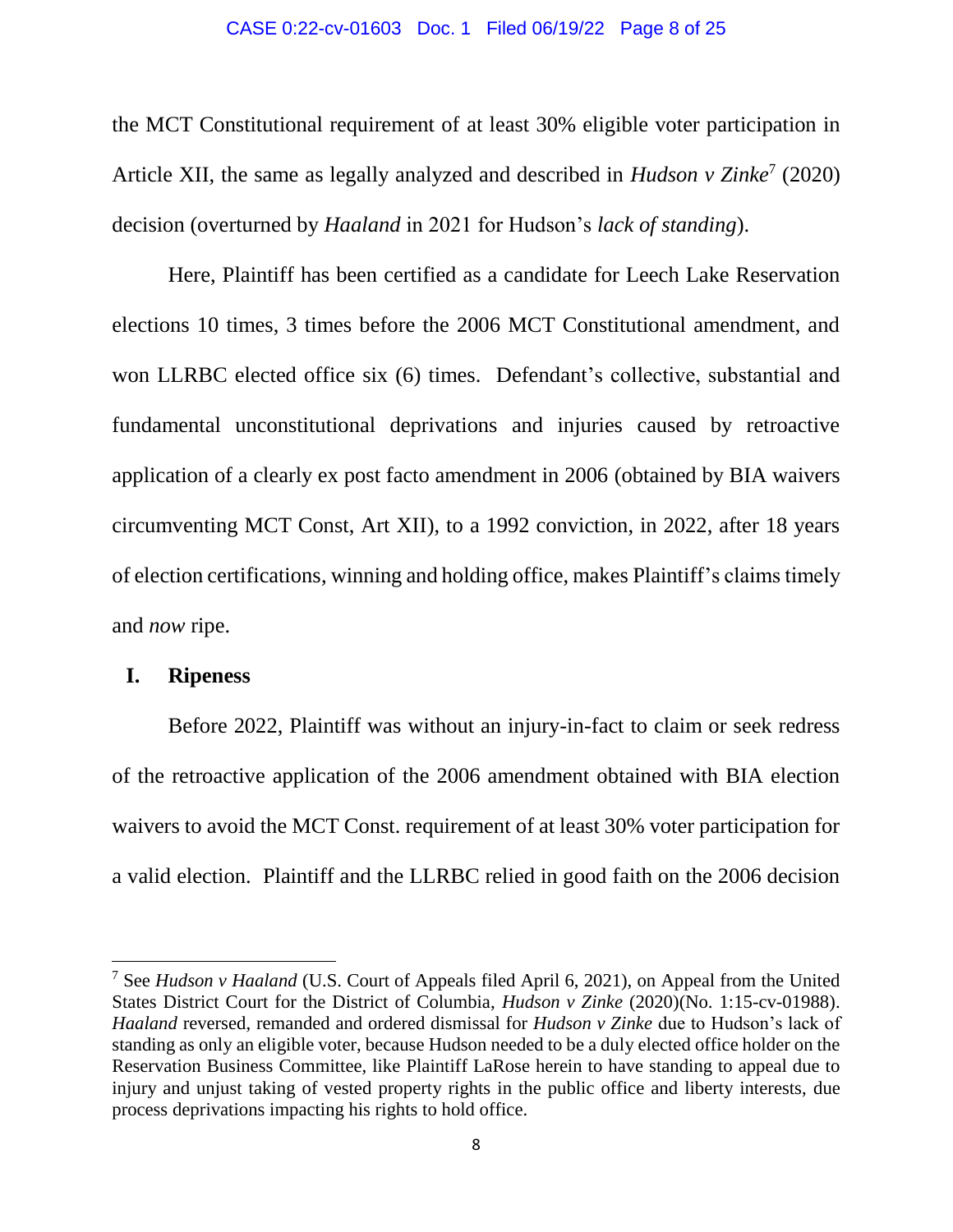#### CASE 0:22-cv-01603 Doc. 1 Filed 06/19/22 Page 8 of 25

the MCT Constitutional requirement of at least 30% eligible voter participation in Article XII, the same as legally analyzed and described in *Hudson v Zinke*<sup>7</sup> (2020) decision (overturned by *Haaland* in 2021 for Hudson's *lack of standing*).

Here, Plaintiff has been certified as a candidate for Leech Lake Reservation elections 10 times, 3 times before the 2006 MCT Constitutional amendment, and won LLRBC elected office six (6) times. Defendant's collective, substantial and fundamental unconstitutional deprivations and injuries caused by retroactive application of a clearly ex post facto amendment in 2006 (obtained by BIA waivers circumventing MCT Const, Art XII), to a 1992 conviction, in 2022, after 18 years of election certifications, winning and holding office, makes Plaintiff's claims timely and *now* ripe.

## **I. Ripeness**

 $\overline{\phantom{a}}$ 

Before 2022, Plaintiff was without an injury-in-fact to claim or seek redress of the retroactive application of the 2006 amendment obtained with BIA election waivers to avoid the MCT Const. requirement of at least 30% voter participation for a valid election. Plaintiff and the LLRBC relied in good faith on the 2006 decision

<sup>7</sup> See *Hudson v Haaland* (U.S. Court of Appeals filed April 6, 2021), on Appeal from the United States District Court for the District of Columbia, *Hudson v Zinke* (2020)(No. 1:15-cv-01988). *Haaland* reversed, remanded and ordered dismissal for *Hudson v Zinke* due to Hudson's lack of standing as only an eligible voter, because Hudson needed to be a duly elected office holder on the Reservation Business Committee, like Plaintiff LaRose herein to have standing to appeal due to injury and unjust taking of vested property rights in the public office and liberty interests, due process deprivations impacting his rights to hold office.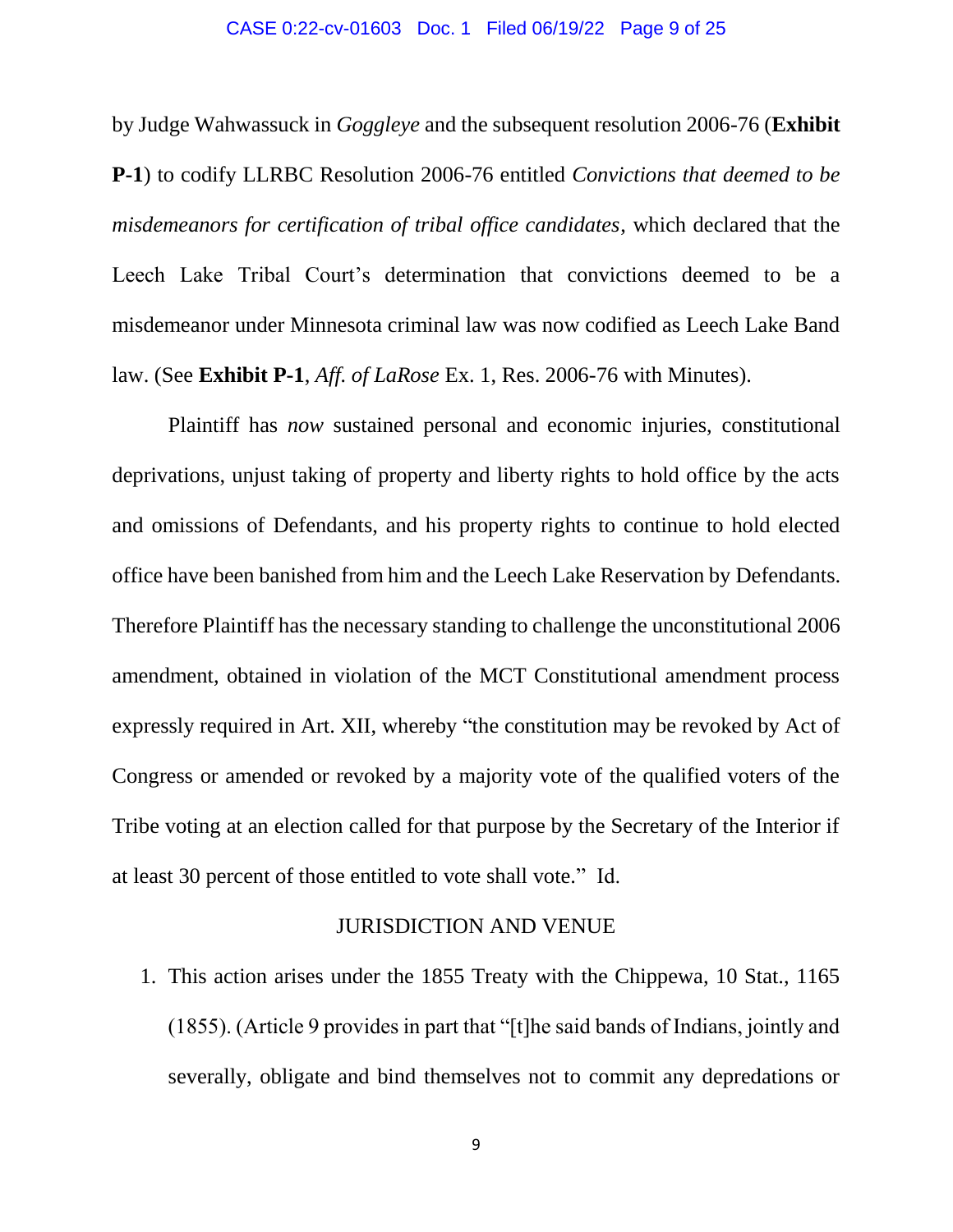### CASE 0:22-cv-01603 Doc. 1 Filed 06/19/22 Page 9 of 25

by Judge Wahwassuck in *Goggleye* and the subsequent resolution 2006-76 (**Exhibit P-1**) to codify LLRBC Resolution 2006-76 entitled *Convictions that deemed to be misdemeanors for certification of tribal office candidates*, which declared that the Leech Lake Tribal Court's determination that convictions deemed to be a misdemeanor under Minnesota criminal law was now codified as Leech Lake Band law. (See **Exhibit P-1**, *Aff. of LaRose* Ex. 1, Res. 2006-76 with Minutes).

Plaintiff has *now* sustained personal and economic injuries, constitutional deprivations, unjust taking of property and liberty rights to hold office by the acts and omissions of Defendants, and his property rights to continue to hold elected office have been banished from him and the Leech Lake Reservation by Defendants. Therefore Plaintiff has the necessary standing to challenge the unconstitutional 2006 amendment, obtained in violation of the MCT Constitutional amendment process expressly required in Art. XII, whereby "the constitution may be revoked by Act of Congress or amended or revoked by a majority vote of the qualified voters of the Tribe voting at an election called for that purpose by the Secretary of the Interior if at least 30 percent of those entitled to vote shall vote." Id.

## JURISDICTION AND VENUE

1. This action arises under the 1855 Treaty with the Chippewa, 10 Stat., 1165 (1855). (Article 9 provides in part that "[t]he said bands of Indians, jointly and severally, obligate and bind themselves not to commit any depredations or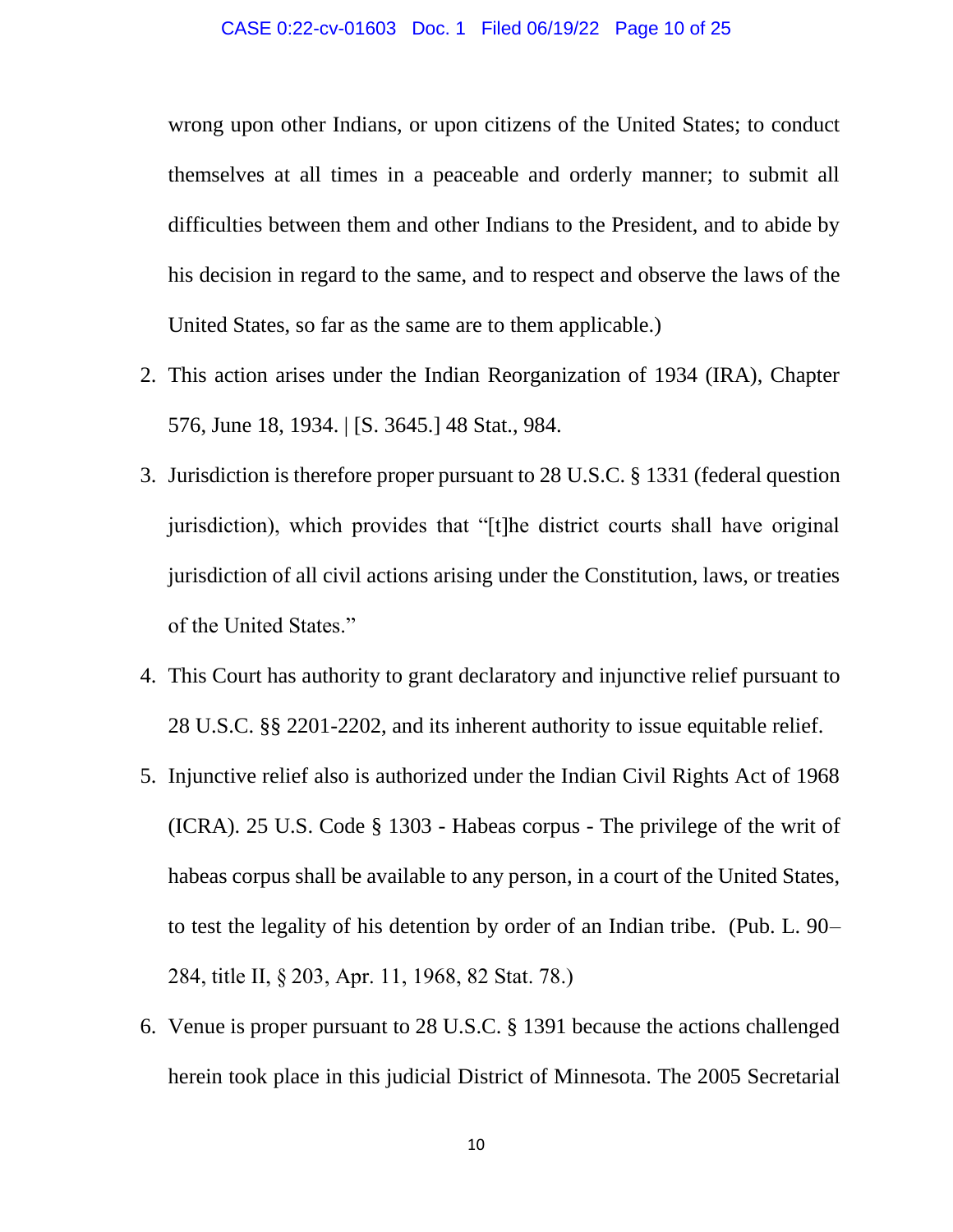wrong upon other Indians, or upon citizens of the United States; to conduct themselves at all times in a peaceable and orderly manner; to submit all difficulties between them and other Indians to the President, and to abide by his decision in regard to the same, and to respect and observe the laws of the United States, so far as the same are to them applicable.)

- 2. This action arises under the Indian Reorganization of 1934 (IRA), Chapter 576, June 18, 1934. | [S. 3645.] 48 Stat., 984.
- 3. Jurisdiction is therefore proper pursuant to 28 U.S.C. § 1331 (federal question jurisdiction), which provides that "[t]he district courts shall have original jurisdiction of all civil actions arising under the Constitution, laws, or treaties of the United States."
- 4. This Court has authority to grant declaratory and injunctive relief pursuant to 28 U.S.C. §§ 2201-2202, and its inherent authority to issue equitable relief.
- 5. Injunctive relief also is authorized under the Indian Civil Rights Act of 1968 (ICRA). 25 U.S. Code § 1303 - Habeas corpus - The privilege of the writ of habeas corpus shall be available to any person, in a court of the United States, to test the legality of his detention by order of an Indian tribe. (Pub. L. 90– 284, title II, § 203, Apr. 11, 1968, 82 Stat. 78.)
- 6. Venue is proper pursuant to 28 U.S.C. § 1391 because the actions challenged herein took place in this judicial District of Minnesota. The 2005 Secretarial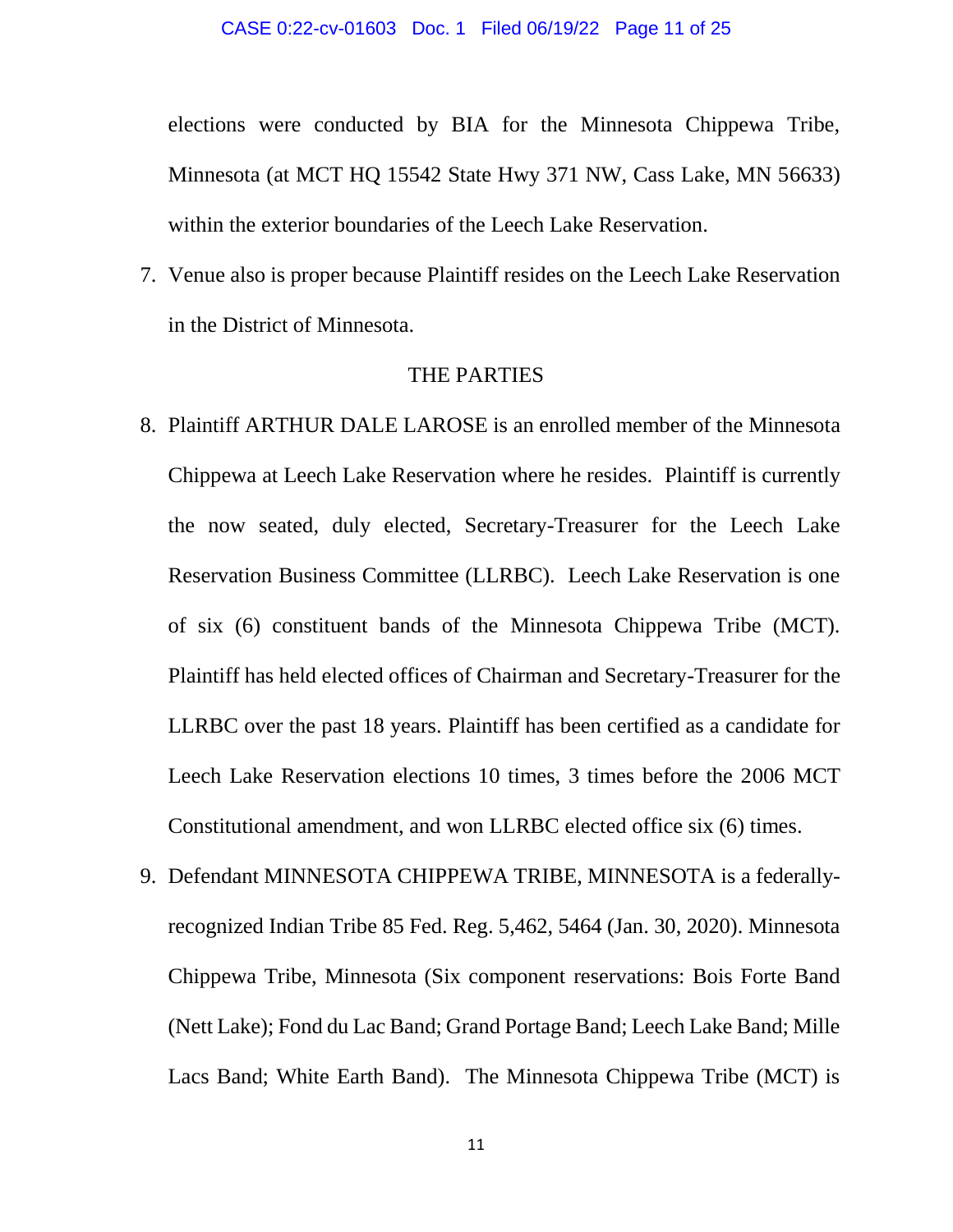elections were conducted by BIA for the Minnesota Chippewa Tribe, Minnesota (at MCT HQ 15542 State Hwy 371 NW, Cass Lake, MN 56633) within the exterior boundaries of the Leech Lake Reservation.

7. Venue also is proper because Plaintiff resides on the Leech Lake Reservation in the District of Minnesota.

## THE PARTIES

- 8. Plaintiff ARTHUR DALE LAROSE is an enrolled member of the Minnesota Chippewa at Leech Lake Reservation where he resides. Plaintiff is currently the now seated, duly elected, Secretary-Treasurer for the Leech Lake Reservation Business Committee (LLRBC). Leech Lake Reservation is one of six (6) constituent bands of the Minnesota Chippewa Tribe (MCT). Plaintiff has held elected offices of Chairman and Secretary-Treasurer for the LLRBC over the past 18 years. Plaintiff has been certified as a candidate for Leech Lake Reservation elections 10 times, 3 times before the 2006 MCT Constitutional amendment, and won LLRBC elected office six (6) times.
- 9. Defendant MINNESOTA CHIPPEWA TRIBE, MINNESOTA is a federallyrecognized Indian Tribe 85 Fed. Reg. 5,462, 5464 (Jan. 30, 2020). Minnesota Chippewa Tribe, Minnesota (Six component reservations: Bois Forte Band (Nett Lake); Fond du Lac Band; Grand Portage Band; Leech Lake Band; Mille Lacs Band; White Earth Band). The Minnesota Chippewa Tribe (MCT) is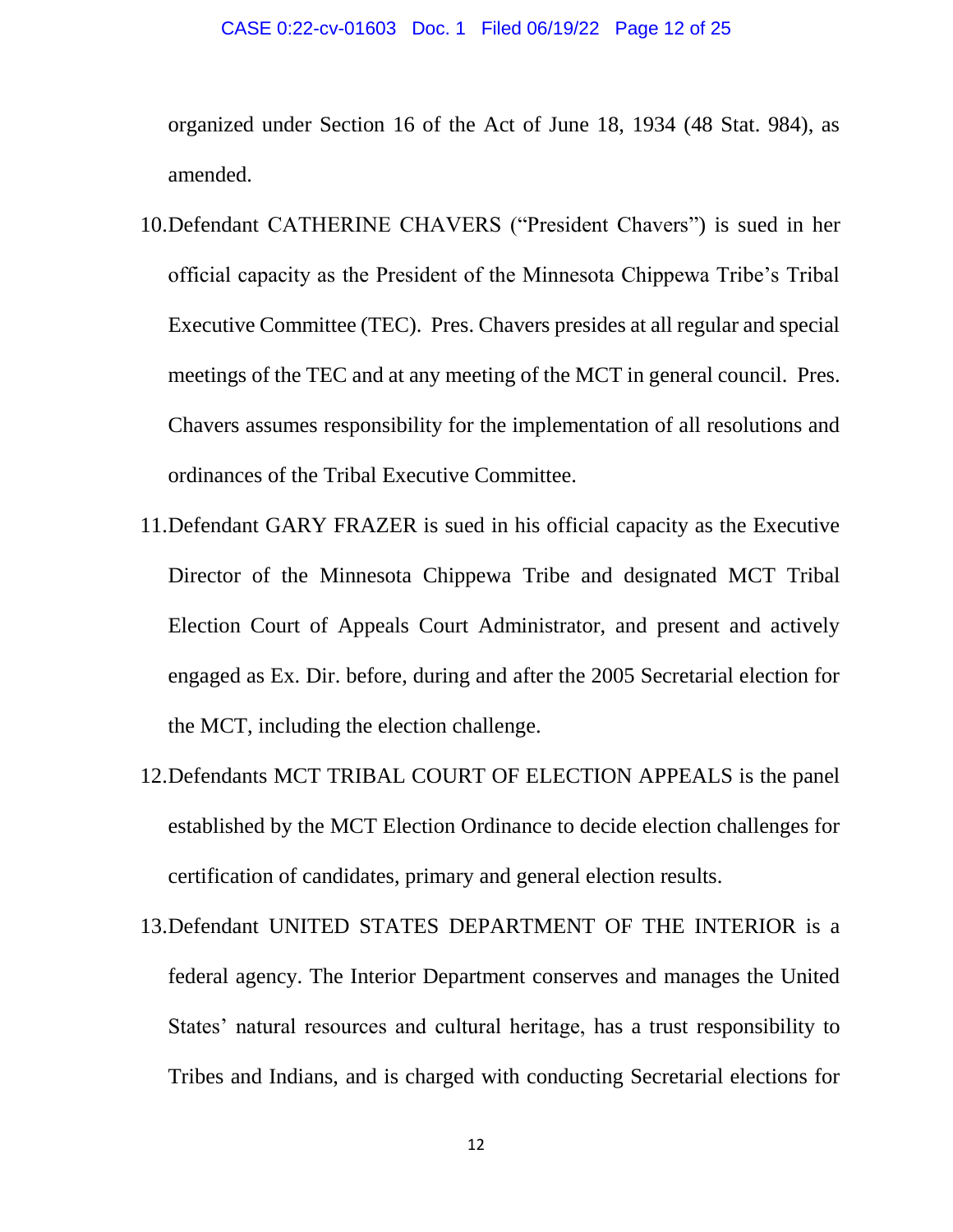#### CASE 0:22-cv-01603 Doc. 1 Filed 06/19/22 Page 12 of 25

organized under Section 16 of the Act of June 18, 1934 (48 Stat. 984), as amended.

- 10.Defendant CATHERINE CHAVERS ("President Chavers") is sued in her official capacity as the President of the Minnesota Chippewa Tribe's Tribal Executive Committee (TEC). Pres. Chavers presides at all regular and special meetings of the TEC and at any meeting of the MCT in general council. Pres. Chavers assumes responsibility for the implementation of all resolutions and ordinances of the Tribal Executive Committee.
- 11.Defendant GARY FRAZER is sued in his official capacity as the Executive Director of the Minnesota Chippewa Tribe and designated MCT Tribal Election Court of Appeals Court Administrator, and present and actively engaged as Ex. Dir. before, during and after the 2005 Secretarial election for the MCT, including the election challenge.
- 12.Defendants MCT TRIBAL COURT OF ELECTION APPEALS is the panel established by the MCT Election Ordinance to decide election challenges for certification of candidates, primary and general election results.
- 13.Defendant UNITED STATES DEPARTMENT OF THE INTERIOR is a federal agency. The Interior Department conserves and manages the United States' natural resources and cultural heritage, has a trust responsibility to Tribes and Indians, and is charged with conducting Secretarial elections for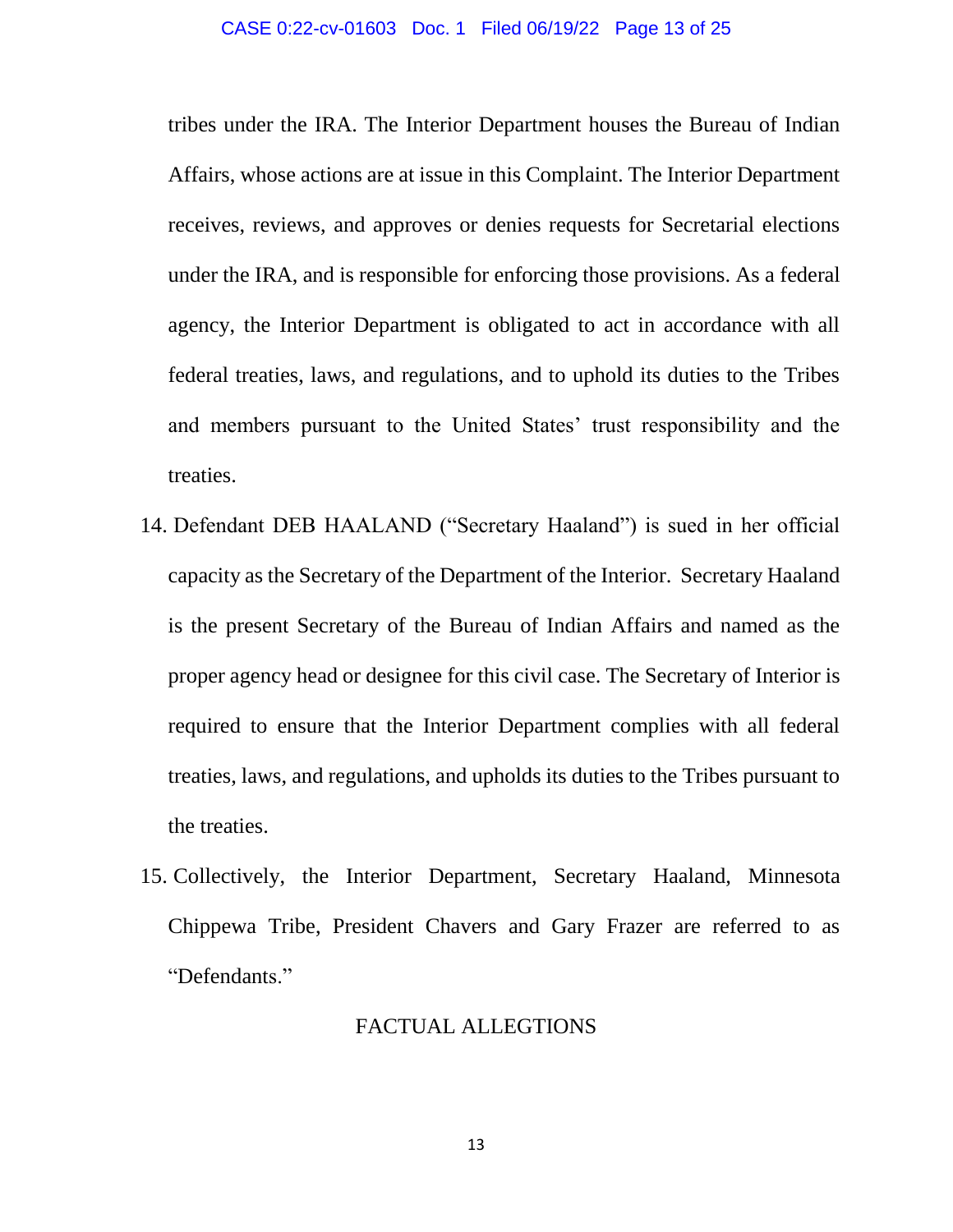tribes under the IRA. The Interior Department houses the Bureau of Indian Affairs, whose actions are at issue in this Complaint. The Interior Department receives, reviews, and approves or denies requests for Secretarial elections under the IRA, and is responsible for enforcing those provisions. As a federal agency, the Interior Department is obligated to act in accordance with all federal treaties, laws, and regulations, and to uphold its duties to the Tribes and members pursuant to the United States' trust responsibility and the treaties.

- 14. Defendant DEB HAALAND ("Secretary Haaland") is sued in her official capacity as the Secretary of the Department of the Interior. Secretary Haaland is the present Secretary of the Bureau of Indian Affairs and named as the proper agency head or designee for this civil case. The Secretary of Interior is required to ensure that the Interior Department complies with all federal treaties, laws, and regulations, and upholds its duties to the Tribes pursuant to the treaties.
- 15. Collectively, the Interior Department, Secretary Haaland, Minnesota Chippewa Tribe, President Chavers and Gary Frazer are referred to as "Defendants."

## FACTUAL ALLEGTIONS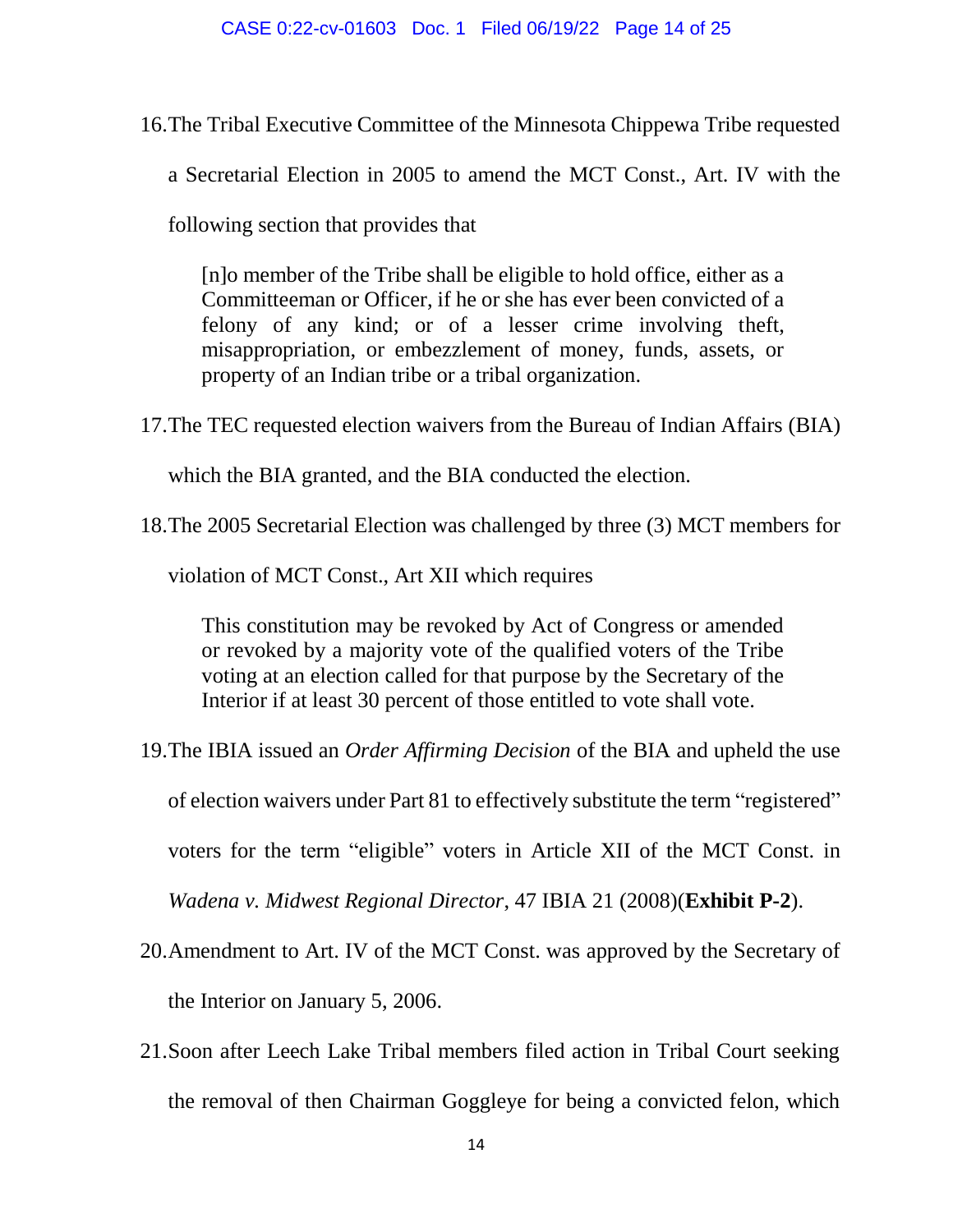- 16.The Tribal Executive Committee of the Minnesota Chippewa Tribe requested
	- a Secretarial Election in 2005 to amend the MCT Const., Art. IV with the

following section that provides that

[n]o member of the Tribe shall be eligible to hold office, either as a Committeeman or Officer, if he or she has ever been convicted of a felony of any kind; or of a lesser crime involving theft, misappropriation, or embezzlement of money, funds, assets, or property of an Indian tribe or a tribal organization.

17.The TEC requested election waivers from the Bureau of Indian Affairs (BIA)

which the BIA granted, and the BIA conducted the election.

18.The 2005 Secretarial Election was challenged by three (3) MCT members for

violation of MCT Const., Art XII which requires

This constitution may be revoked by Act of Congress or amended or revoked by a majority vote of the qualified voters of the Tribe voting at an election called for that purpose by the Secretary of the Interior if at least 30 percent of those entitled to vote shall vote.

19.The IBIA issued an *Order Affirming Decision* of the BIA and upheld the use

of election waivers under Part 81 to effectively substitute the term "registered"

voters for the term "eligible" voters in Article XII of the MCT Const. in

*Wadena v. Midwest Regional Director*, 47 IBIA 21 (2008)(**Exhibit P-2**).

- 20.Amendment to Art. IV of the MCT Const. was approved by the Secretary of the Interior on January 5, 2006.
- 21.Soon after Leech Lake Tribal members filed action in Tribal Court seeking the removal of then Chairman Goggleye for being a convicted felon, which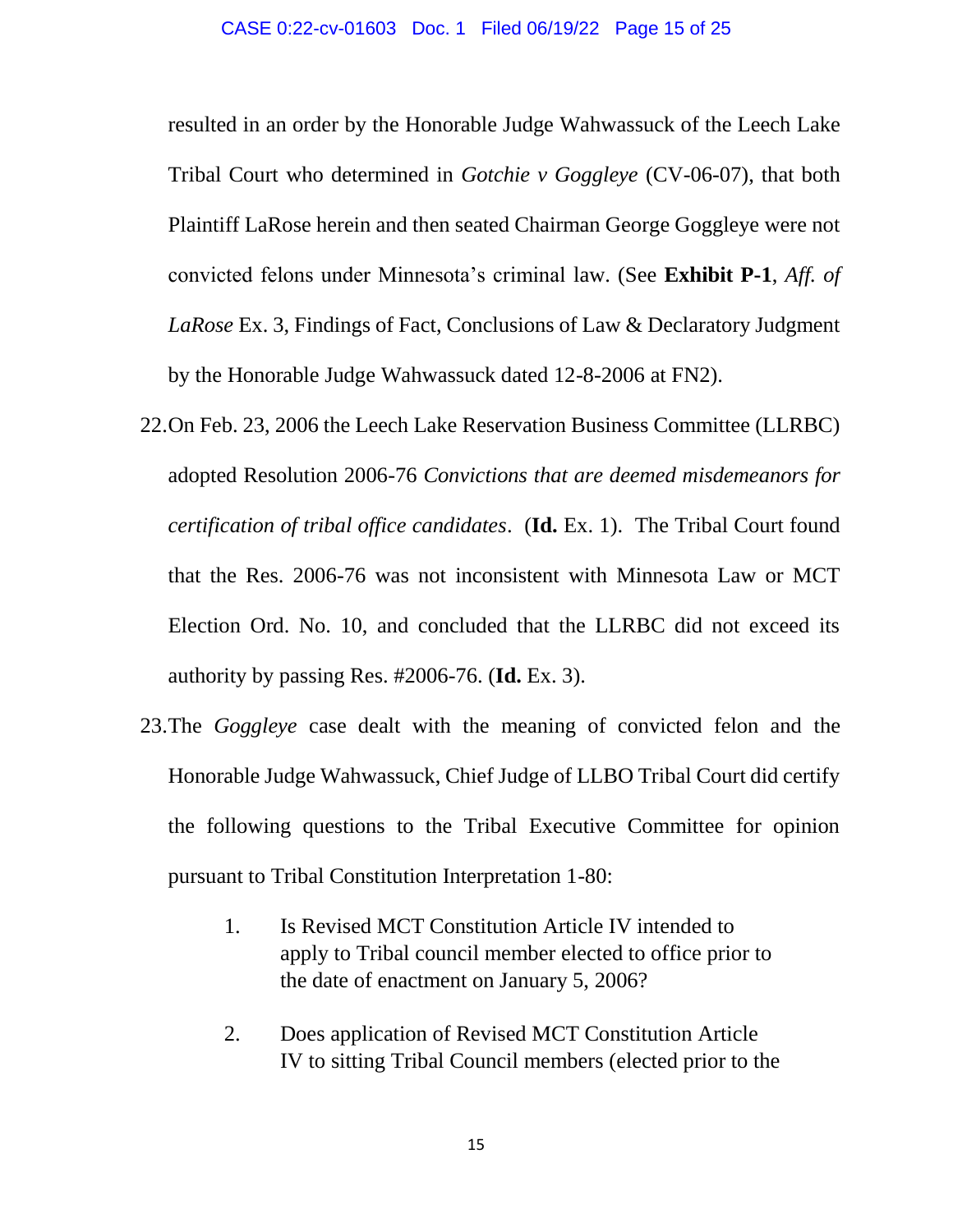resulted in an order by the Honorable Judge Wahwassuck of the Leech Lake Tribal Court who determined in *Gotchie v Goggleye* (CV-06-07), that both Plaintiff LaRose herein and then seated Chairman George Goggleye were not convicted felons under Minnesota's criminal law. (See **Exhibit P-1**, *Aff. of LaRose* Ex. 3, Findings of Fact, Conclusions of Law & Declaratory Judgment by the Honorable Judge Wahwassuck dated 12-8-2006 at FN2).

- 22.On Feb. 23, 2006 the Leech Lake Reservation Business Committee (LLRBC) adopted Resolution 2006-76 *Convictions that are deemed misdemeanors for certification of tribal office candidates*. (**Id.** Ex. 1). The Tribal Court found that the Res. 2006-76 was not inconsistent with Minnesota Law or MCT Election Ord. No. 10, and concluded that the LLRBC did not exceed its authority by passing Res. #2006-76. (**Id.** Ex. 3).
- 23.The *Goggleye* case dealt with the meaning of convicted felon and the Honorable Judge Wahwassuck, Chief Judge of LLBO Tribal Court did certify the following questions to the Tribal Executive Committee for opinion pursuant to Tribal Constitution Interpretation 1-80:
	- 1. Is Revised MCT Constitution Article IV intended to apply to Tribal council member elected to office prior to the date of enactment on January 5, 2006?
	- 2. Does application of Revised MCT Constitution Article IV to sitting Tribal Council members (elected prior to the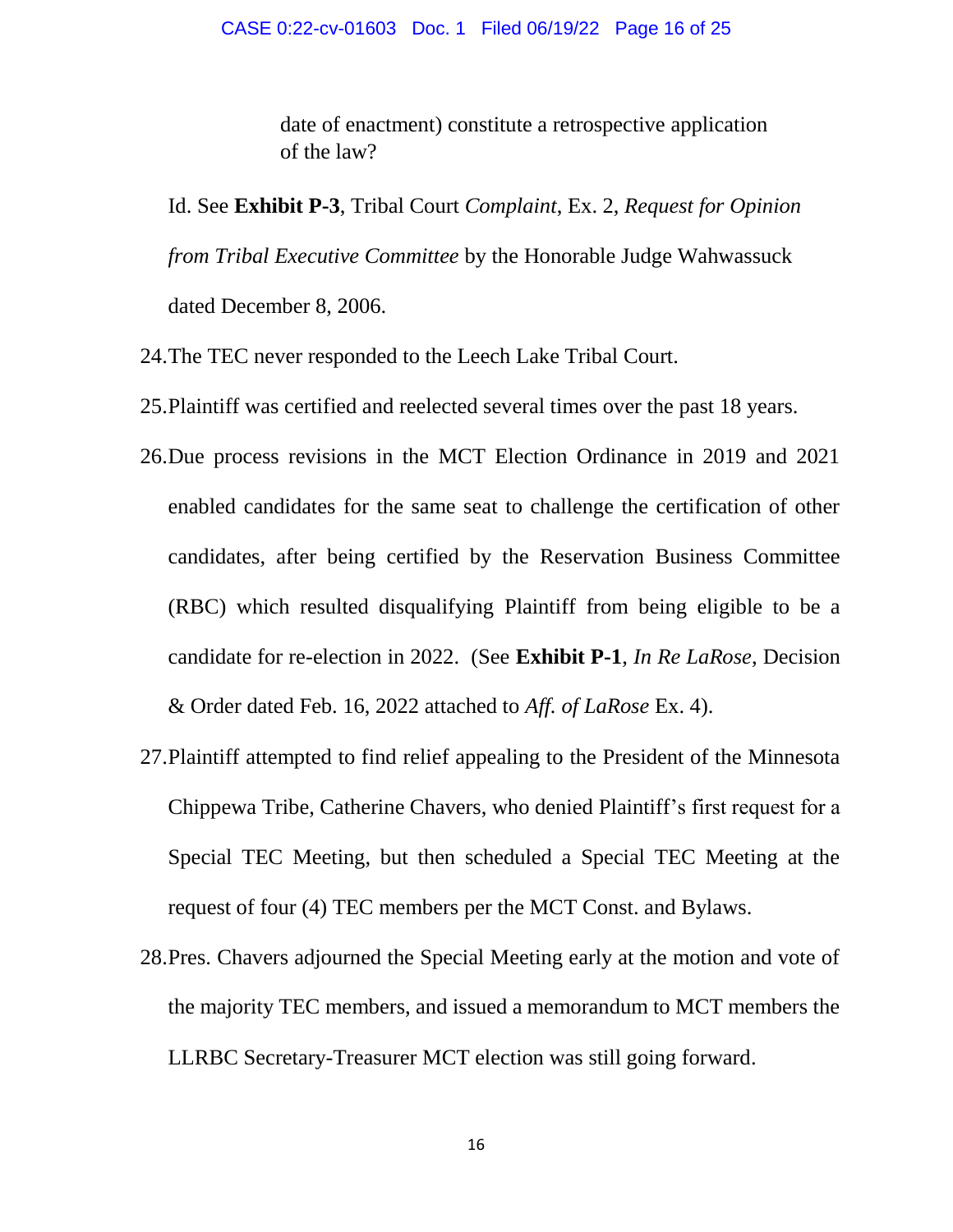date of enactment) constitute a retrospective application of the law?

Id. See **Exhibit P-3**, Tribal Court *Complaint*, Ex. 2, *Request for Opinion from Tribal Executive Committee* by the Honorable Judge Wahwassuck dated December 8, 2006.

- 24.The TEC never responded to the Leech Lake Tribal Court.
- 25.Plaintiff was certified and reelected several times over the past 18 years.
- 26.Due process revisions in the MCT Election Ordinance in 2019 and 2021 enabled candidates for the same seat to challenge the certification of other candidates, after being certified by the Reservation Business Committee (RBC) which resulted disqualifying Plaintiff from being eligible to be a candidate for re-election in 2022. (See **Exhibit P-1**, *In Re LaRose*, Decision & Order dated Feb. 16, 2022 attached to *Aff. of LaRose* Ex. 4).
- 27.Plaintiff attempted to find relief appealing to the President of the Minnesota Chippewa Tribe, Catherine Chavers, who denied Plaintiff's first request for a Special TEC Meeting, but then scheduled a Special TEC Meeting at the request of four (4) TEC members per the MCT Const. and Bylaws.
- 28.Pres. Chavers adjourned the Special Meeting early at the motion and vote of the majority TEC members, and issued a memorandum to MCT members the LLRBC Secretary-Treasurer MCT election was still going forward.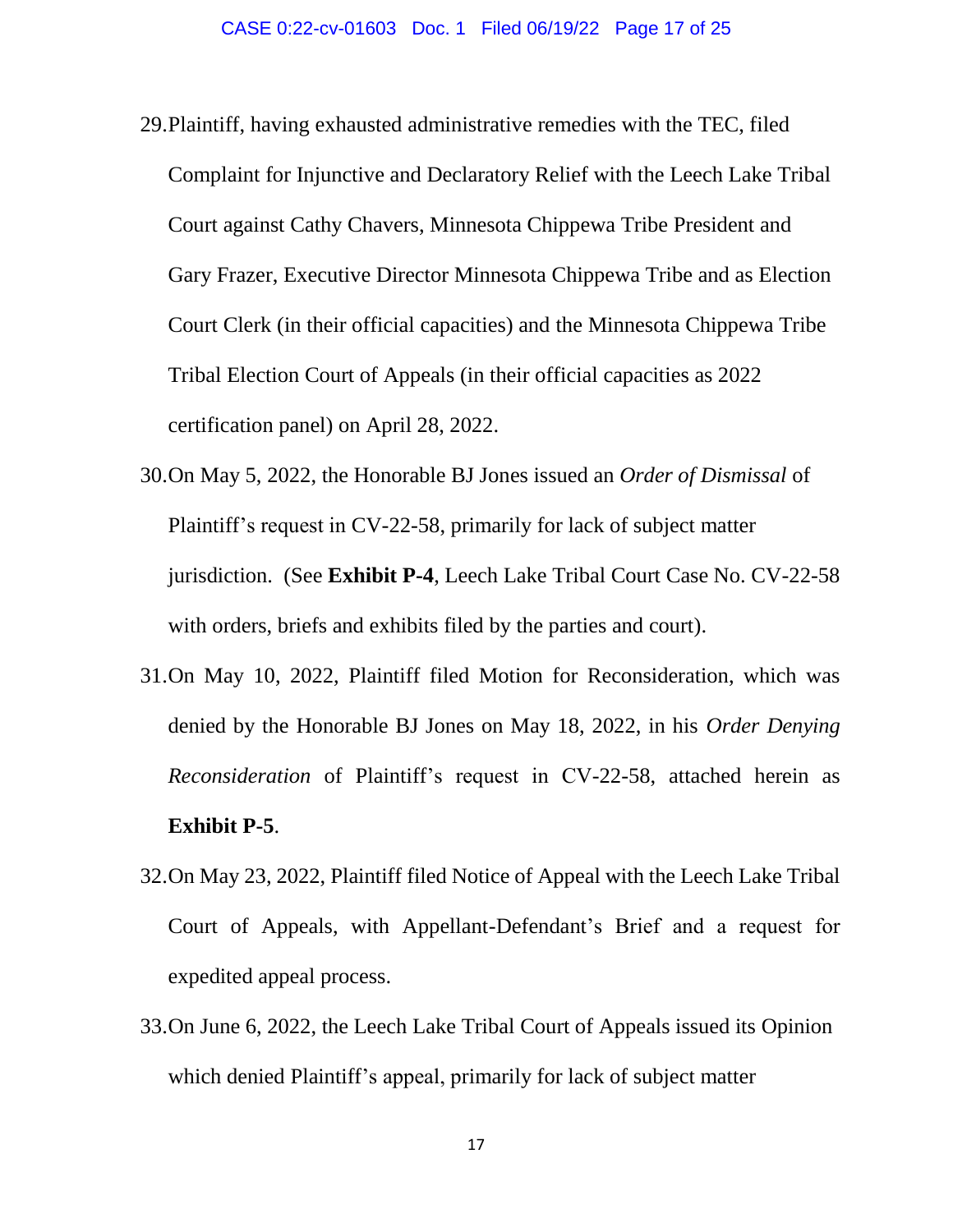- 29.Plaintiff, having exhausted administrative remedies with the TEC, filed Complaint for Injunctive and Declaratory Relief with the Leech Lake Tribal Court against Cathy Chavers, Minnesota Chippewa Tribe President and Gary Frazer, Executive Director Minnesota Chippewa Tribe and as Election Court Clerk (in their official capacities) and the Minnesota Chippewa Tribe Tribal Election Court of Appeals (in their official capacities as 2022 certification panel) on April 28, 2022.
- 30.On May 5, 2022, the Honorable BJ Jones issued an *Order of Dismissal* of Plaintiff's request in CV-22-58, primarily for lack of subject matter jurisdiction. (See **Exhibit P-4**, Leech Lake Tribal Court Case No. CV-22-58 with orders, briefs and exhibits filed by the parties and court).
- 31.On May 10, 2022, Plaintiff filed Motion for Reconsideration, which was denied by the Honorable BJ Jones on May 18, 2022, in his *Order Denying Reconsideration* of Plaintiff's request in CV-22-58, attached herein as **Exhibit P-5**.
- 32.On May 23, 2022, Plaintiff filed Notice of Appeal with the Leech Lake Tribal Court of Appeals, with Appellant-Defendant's Brief and a request for expedited appeal process.
- 33.On June 6, 2022, the Leech Lake Tribal Court of Appeals issued its Opinion which denied Plaintiff's appeal, primarily for lack of subject matter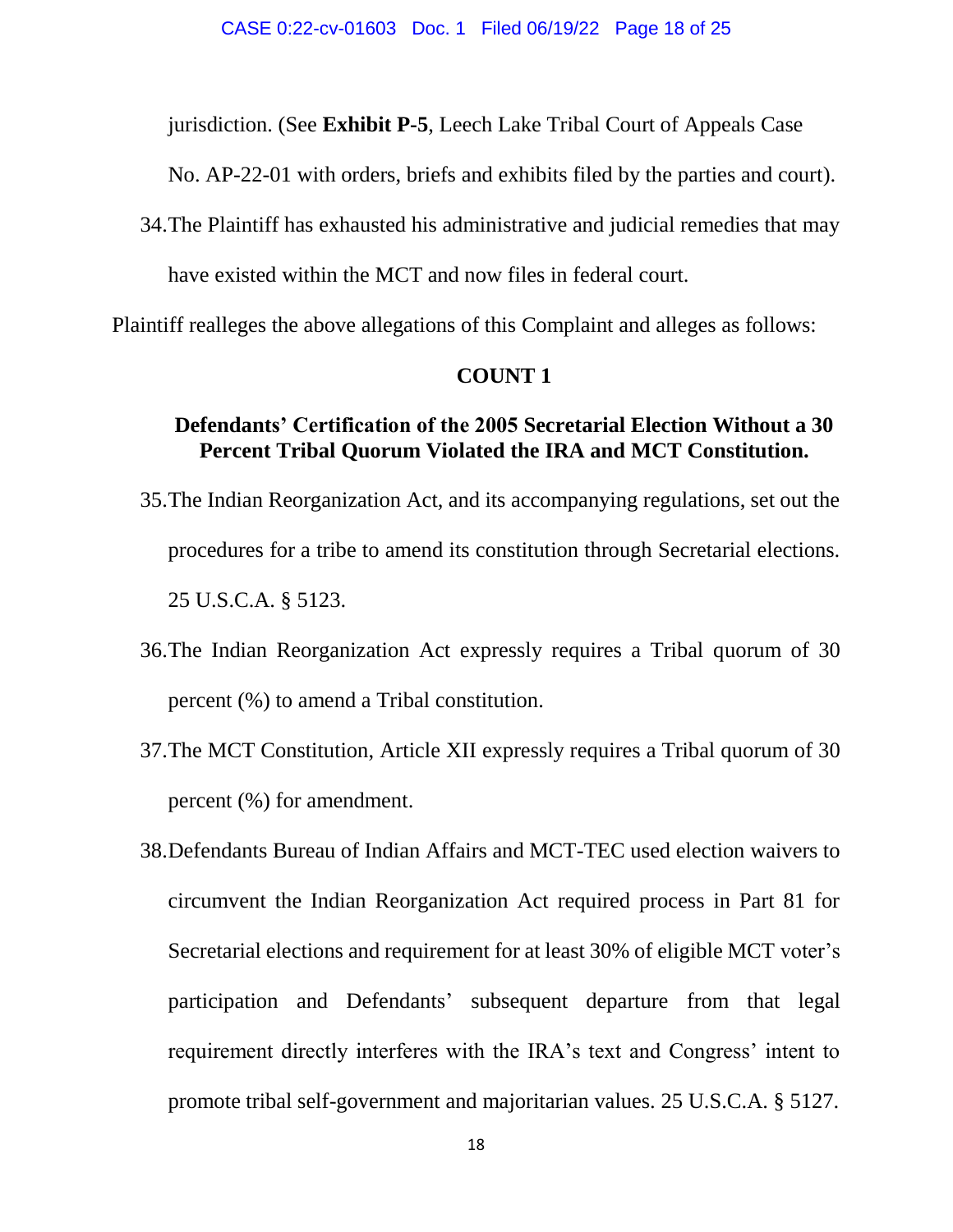jurisdiction. (See **Exhibit P-5**, Leech Lake Tribal Court of Appeals Case

No. AP-22-01 with orders, briefs and exhibits filed by the parties and court).

34.The Plaintiff has exhausted his administrative and judicial remedies that may

have existed within the MCT and now files in federal court.

Plaintiff realleges the above allegations of this Complaint and alleges as follows:

## **COUNT 1**

# **Defendants' Certification of the 2005 Secretarial Election Without a 30 Percent Tribal Quorum Violated the IRA and MCT Constitution.**

- 35.The Indian Reorganization Act, and its accompanying regulations, set out the procedures for a tribe to amend its constitution through Secretarial elections. 25 U.S.C.A. § 5123.
- 36.The Indian Reorganization Act expressly requires a Tribal quorum of 30 percent (%) to amend a Tribal constitution.
- 37.The MCT Constitution, Article XII expressly requires a Tribal quorum of 30 percent (%) for amendment.
- 38.Defendants Bureau of Indian Affairs and MCT-TEC used election waivers to circumvent the Indian Reorganization Act required process in Part 81 for Secretarial elections and requirement for at least 30% of eligible MCT voter's participation and Defendants' subsequent departure from that legal requirement directly interferes with the IRA's text and Congress' intent to promote tribal self-government and majoritarian values. 25 U.S.C.A. § 5127.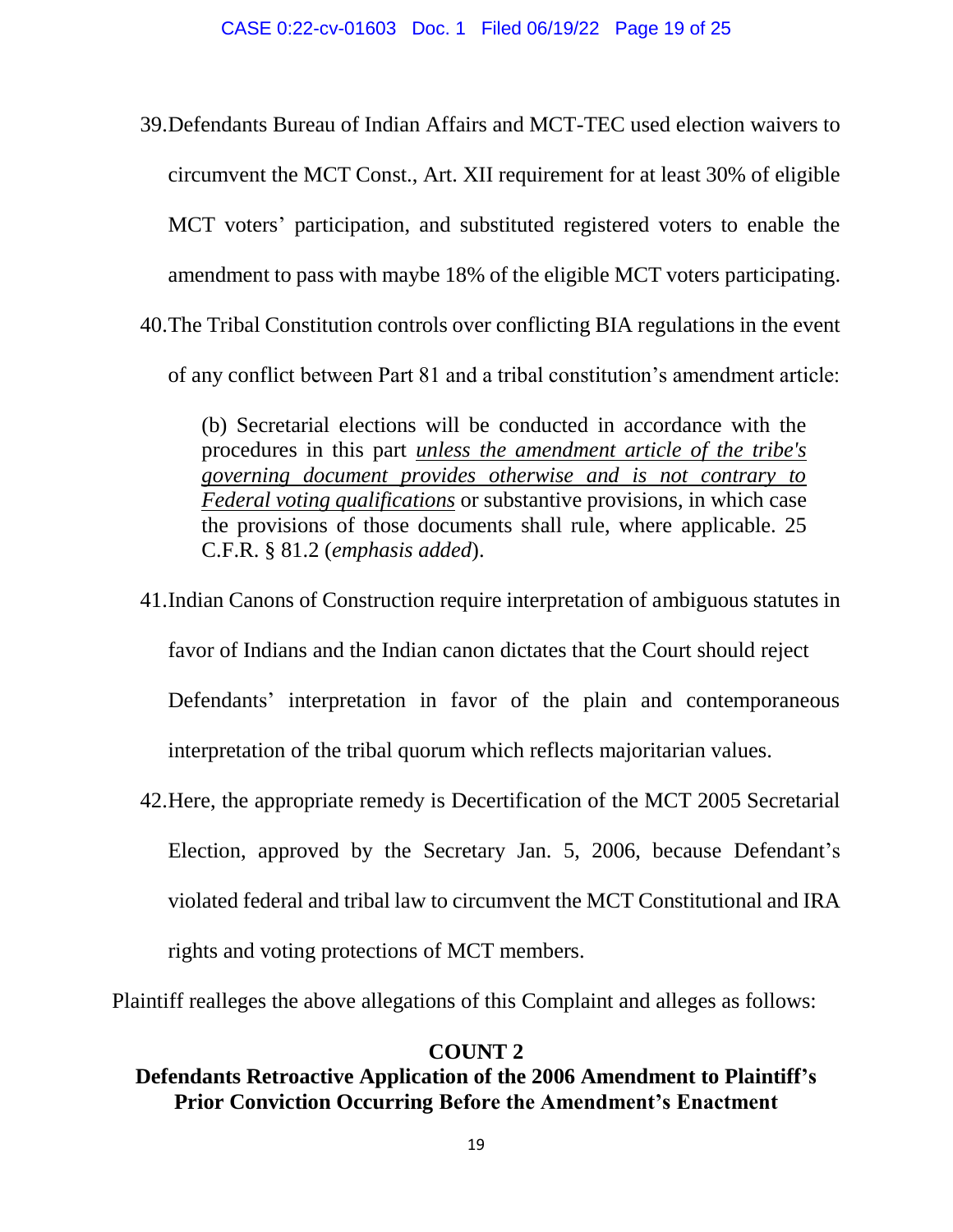39.Defendants Bureau of Indian Affairs and MCT-TEC used election waivers to circumvent the MCT Const., Art. XII requirement for at least 30% of eligible MCT voters' participation, and substituted registered voters to enable the amendment to pass with maybe 18% of the eligible MCT voters participating. 40.The Tribal Constitution controls over conflicting BIA regulations in the event

of any conflict between Part 81 and a tribal constitution's amendment article:

(b) Secretarial elections will be conducted in accordance with the procedures in this part *unless the amendment article of the tribe's governing document provides otherwise and is not contrary to Federal voting qualifications* or substantive provisions, in which case the provisions of those documents shall rule, where applicable. 25 C.F.R. § 81.2 (*emphasis added*).

- 41.Indian Canons of Construction require interpretation of ambiguous statutes in favor of Indians and the Indian canon dictates that the Court should reject Defendants' interpretation in favor of the plain and contemporaneous interpretation of the tribal quorum which reflects majoritarian values.
- 42.Here, the appropriate remedy is Decertification of the MCT 2005 Secretarial Election, approved by the Secretary Jan. 5, 2006, because Defendant's violated federal and tribal law to circumvent the MCT Constitutional and IRA rights and voting protections of MCT members.

Plaintiff realleges the above allegations of this Complaint and alleges as follows:

## **COUNT 2**

# **Defendants Retroactive Application of the 2006 Amendment to Plaintiff's Prior Conviction Occurring Before the Amendment's Enactment**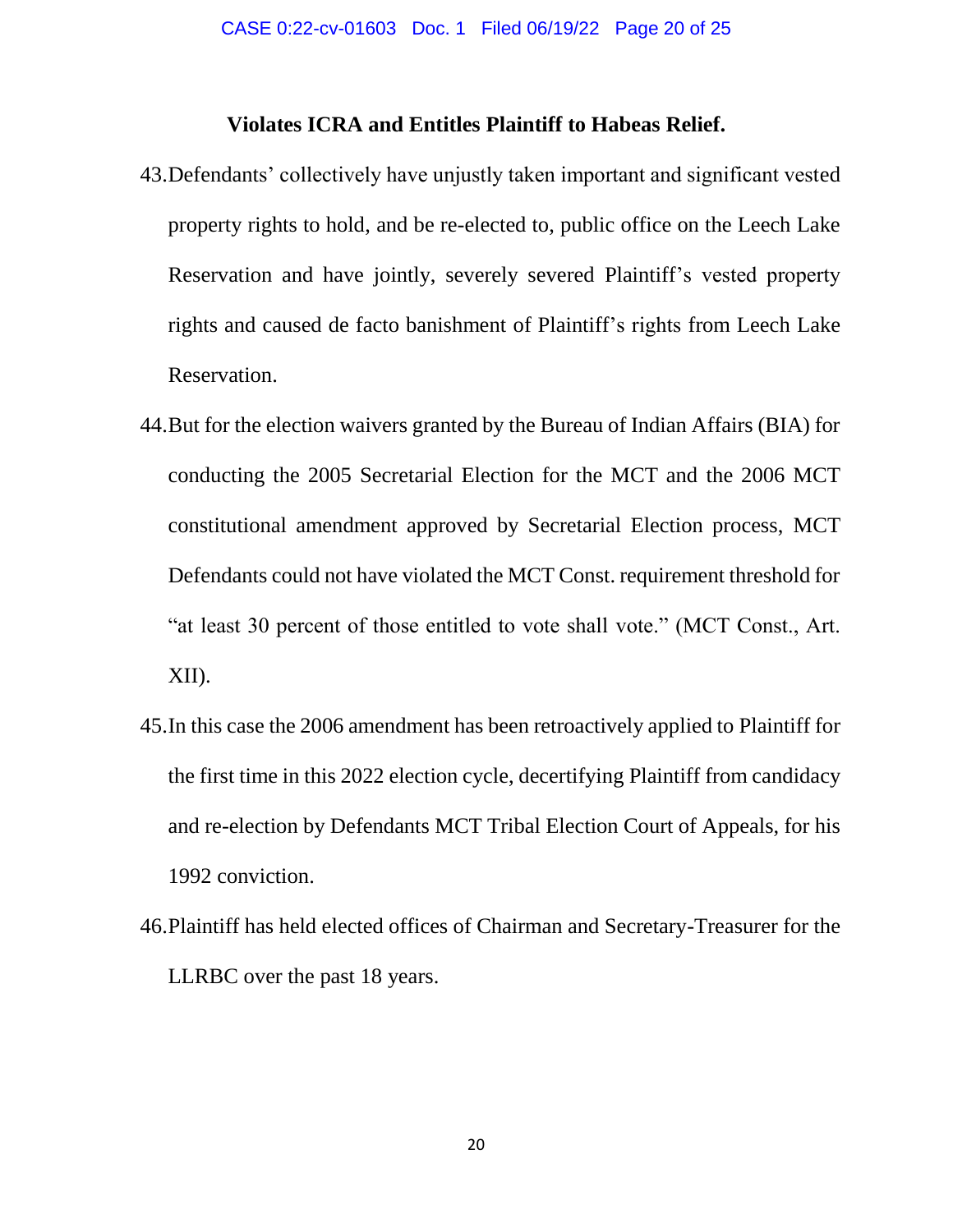## **Violates ICRA and Entitles Plaintiff to Habeas Relief.**

- 43.Defendants' collectively have unjustly taken important and significant vested property rights to hold, and be re-elected to, public office on the Leech Lake Reservation and have jointly, severely severed Plaintiff's vested property rights and caused de facto banishment of Plaintiff's rights from Leech Lake Reservation.
- 44.But for the election waivers granted by the Bureau of Indian Affairs (BIA) for conducting the 2005 Secretarial Election for the MCT and the 2006 MCT constitutional amendment approved by Secretarial Election process, MCT Defendants could not have violated the MCT Const. requirement threshold for "at least 30 percent of those entitled to vote shall vote." (MCT Const., Art. XII).
- 45.In this case the 2006 amendment has been retroactively applied to Plaintiff for the first time in this 2022 election cycle, decertifying Plaintiff from candidacy and re-election by Defendants MCT Tribal Election Court of Appeals, for his 1992 conviction.
- 46.Plaintiff has held elected offices of Chairman and Secretary-Treasurer for the LLRBC over the past 18 years.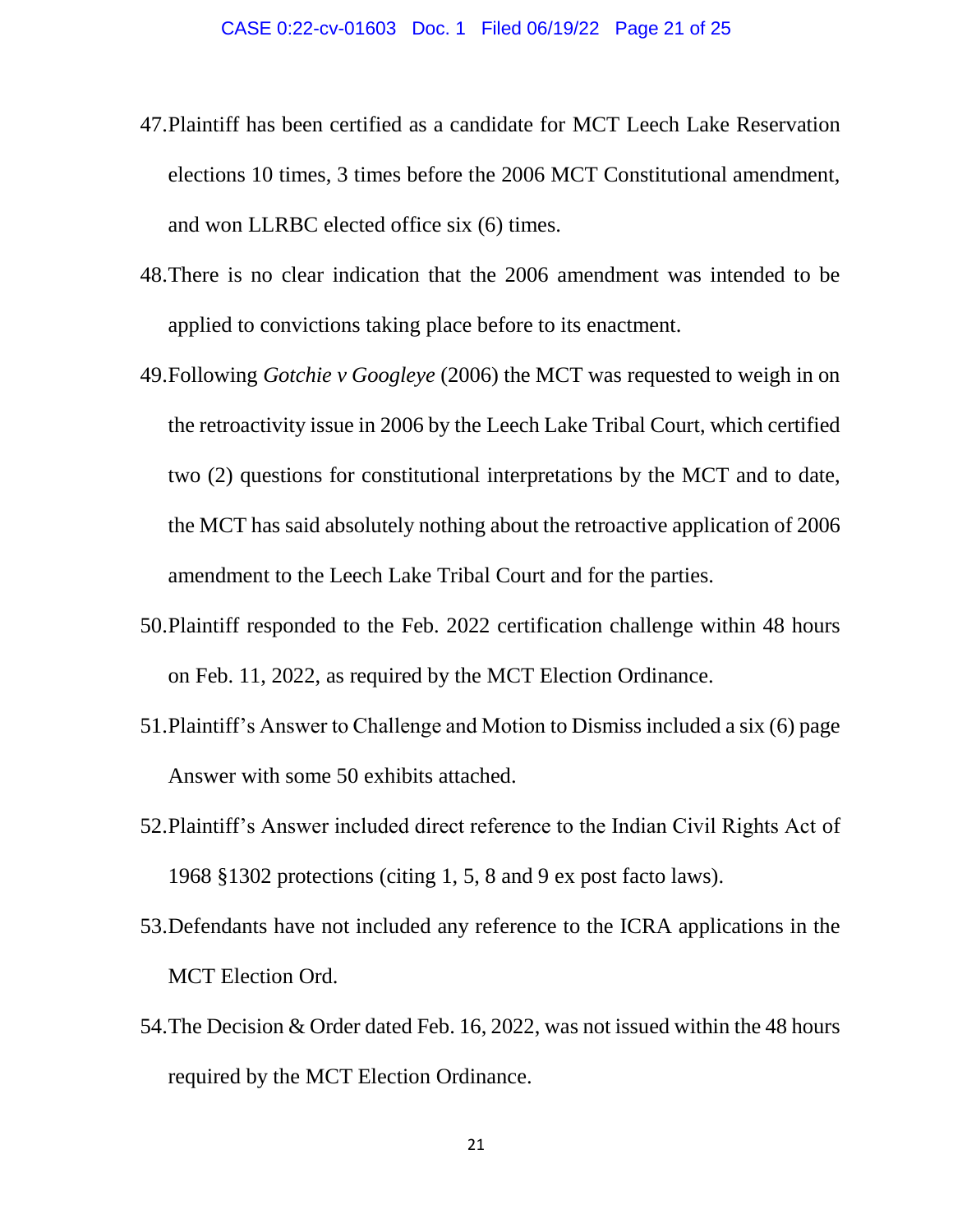- 47.Plaintiff has been certified as a candidate for MCT Leech Lake Reservation elections 10 times, 3 times before the 2006 MCT Constitutional amendment, and won LLRBC elected office six (6) times.
- 48.There is no clear indication that the 2006 amendment was intended to be applied to convictions taking place before to its enactment.
- 49.Following *Gotchie v Googleye* (2006) the MCT was requested to weigh in on the retroactivity issue in 2006 by the Leech Lake Tribal Court, which certified two (2) questions for constitutional interpretations by the MCT and to date, the MCT has said absolutely nothing about the retroactive application of 2006 amendment to the Leech Lake Tribal Court and for the parties.
- 50.Plaintiff responded to the Feb. 2022 certification challenge within 48 hours on Feb. 11, 2022, as required by the MCT Election Ordinance.
- 51.Plaintiff's Answer to Challenge and Motion to Dismiss included a six (6) page Answer with some 50 exhibits attached.
- 52.Plaintiff's Answer included direct reference to the Indian Civil Rights Act of 1968 §1302 protections (citing 1, 5, 8 and 9 ex post facto laws).
- 53.Defendants have not included any reference to the ICRA applications in the MCT Election Ord.
- 54.The Decision & Order dated Feb. 16, 2022, was not issued within the 48 hours required by the MCT Election Ordinance.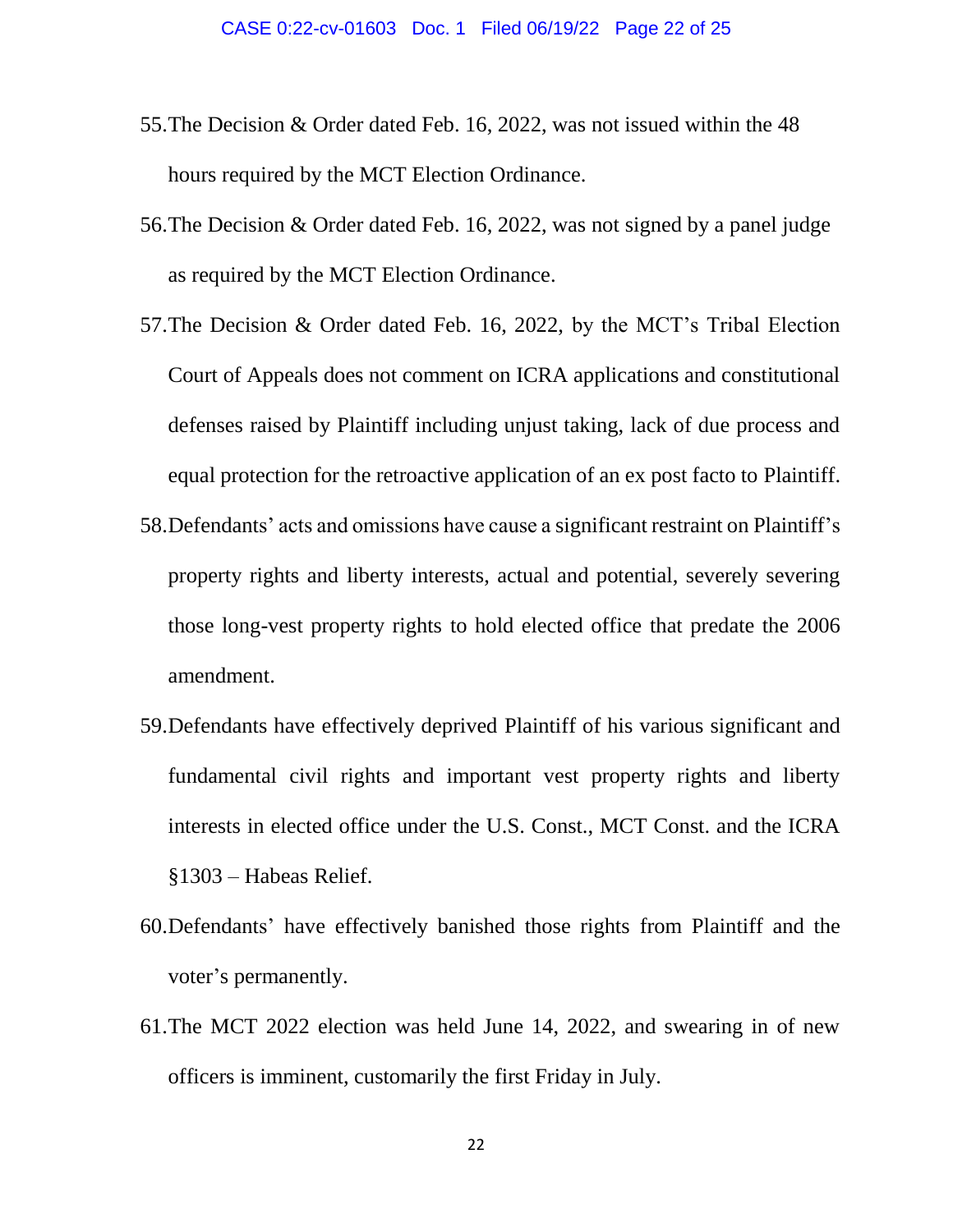- 55.The Decision & Order dated Feb. 16, 2022, was not issued within the 48 hours required by the MCT Election Ordinance.
- 56.The Decision & Order dated Feb. 16, 2022, was not signed by a panel judge as required by the MCT Election Ordinance.
- 57.The Decision & Order dated Feb. 16, 2022, by the MCT's Tribal Election Court of Appeals does not comment on ICRA applications and constitutional defenses raised by Plaintiff including unjust taking, lack of due process and equal protection for the retroactive application of an ex post facto to Plaintiff.
- 58.Defendants' acts and omissions have cause a significant restraint on Plaintiff's property rights and liberty interests, actual and potential, severely severing those long-vest property rights to hold elected office that predate the 2006 amendment.
- 59.Defendants have effectively deprived Plaintiff of his various significant and fundamental civil rights and important vest property rights and liberty interests in elected office under the U.S. Const., MCT Const. and the ICRA §1303 – Habeas Relief.
- 60.Defendants' have effectively banished those rights from Plaintiff and the voter's permanently.
- 61.The MCT 2022 election was held June 14, 2022, and swearing in of new officers is imminent, customarily the first Friday in July.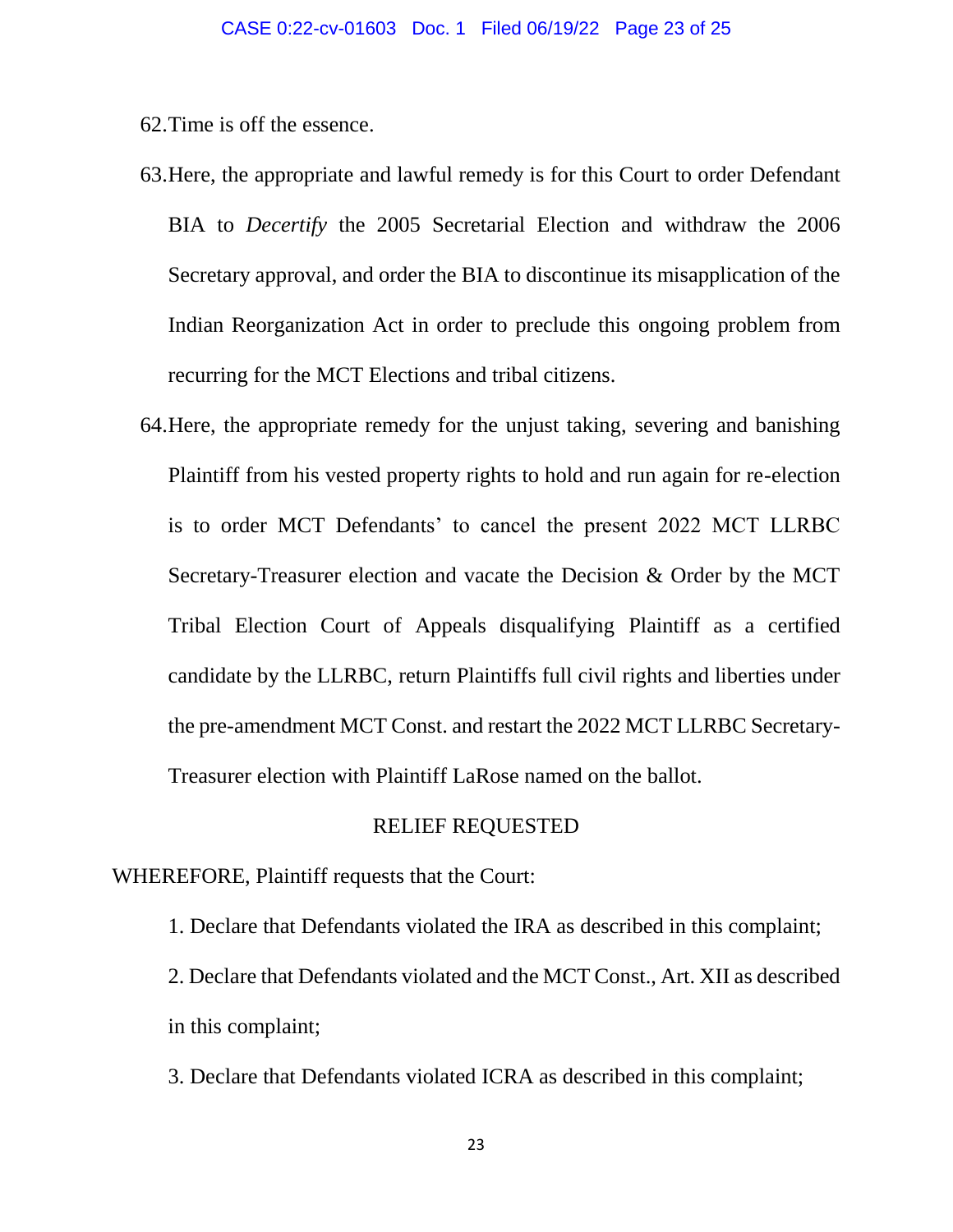62.Time is off the essence.

- 63.Here, the appropriate and lawful remedy is for this Court to order Defendant BIA to *Decertify* the 2005 Secretarial Election and withdraw the 2006 Secretary approval, and order the BIA to discontinue its misapplication of the Indian Reorganization Act in order to preclude this ongoing problem from recurring for the MCT Elections and tribal citizens.
- 64.Here, the appropriate remedy for the unjust taking, severing and banishing Plaintiff from his vested property rights to hold and run again for re-election is to order MCT Defendants' to cancel the present 2022 MCT LLRBC Secretary-Treasurer election and vacate the Decision & Order by the MCT Tribal Election Court of Appeals disqualifying Plaintiff as a certified candidate by the LLRBC, return Plaintiffs full civil rights and liberties under the pre-amendment MCT Const. and restart the 2022 MCT LLRBC Secretary-Treasurer election with Plaintiff LaRose named on the ballot.

### RELIEF REQUESTED

# WHEREFORE, Plaintiff requests that the Court:

1. Declare that Defendants violated the IRA as described in this complaint; 2. Declare that Defendants violated and the MCT Const., Art. XII as described in this complaint;

3. Declare that Defendants violated ICRA as described in this complaint;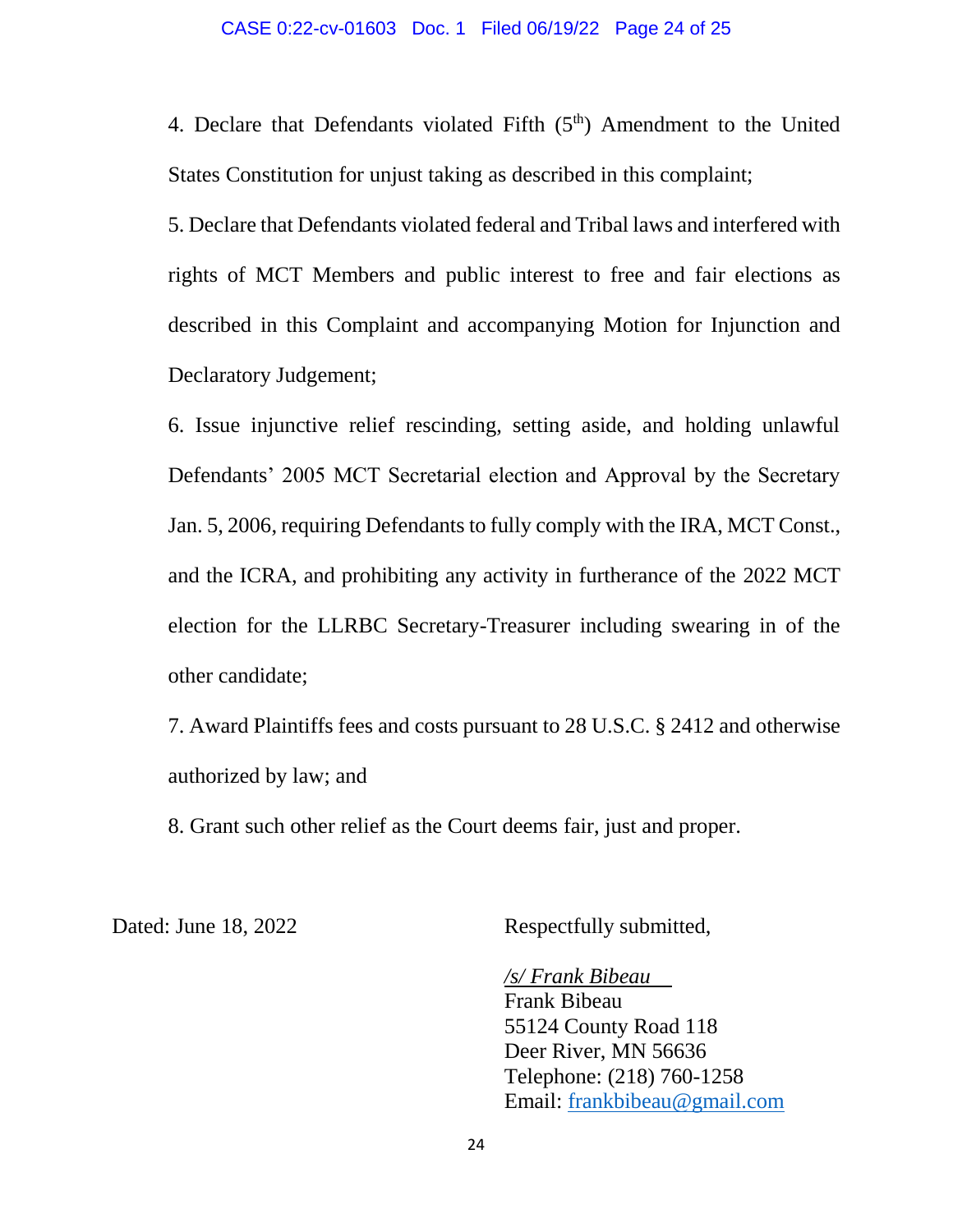4. Declare that Defendants violated Fifth  $(5<sup>th</sup>)$  Amendment to the United States Constitution for unjust taking as described in this complaint;

5. Declare that Defendants violated federal and Tribal laws and interfered with rights of MCT Members and public interest to free and fair elections as described in this Complaint and accompanying Motion for Injunction and Declaratory Judgement;

6. Issue injunctive relief rescinding, setting aside, and holding unlawful Defendants' 2005 MCT Secretarial election and Approval by the Secretary Jan. 5, 2006, requiring Defendants to fully comply with the IRA, MCT Const., and the ICRA, and prohibiting any activity in furtherance of the 2022 MCT election for the LLRBC Secretary-Treasurer including swearing in of the other candidate;

7. Award Plaintiffs fees and costs pursuant to 28 U.S.C. § 2412 and otherwise authorized by law; and

8. Grant such other relief as the Court deems fair, just and proper.

Dated: June 18, 2022 Respectfully submitted,

*/s/ Frank Bibeau* Frank Bibeau 55124 County Road 118 Deer River, MN 56636 Telephone: (218) 760-1258 Email: [frankbibeau@gmail.com](mailto:frankbibeau@gmail.com)